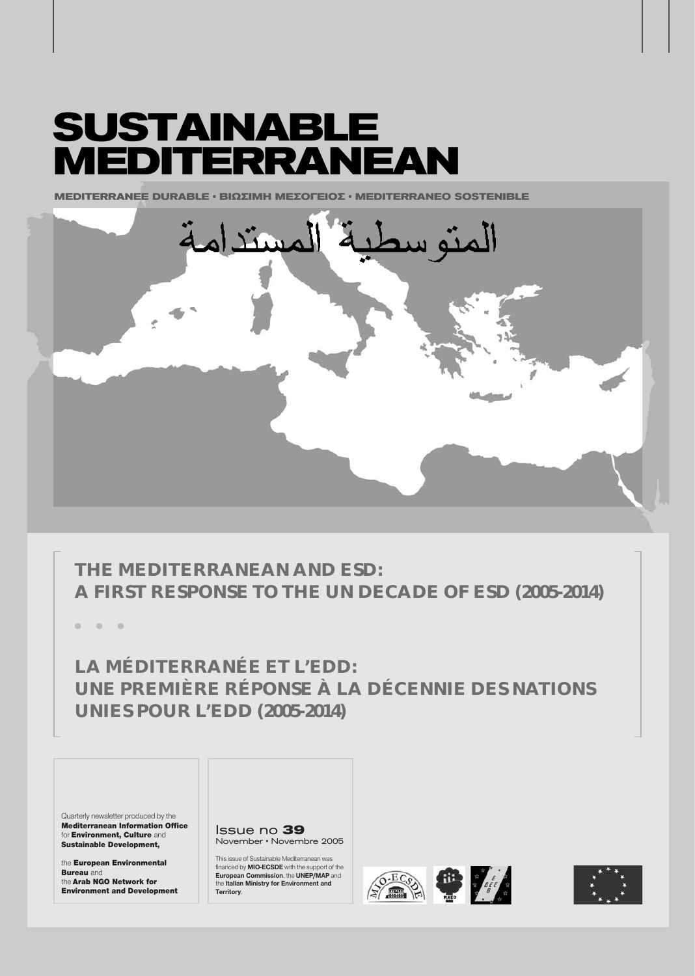# **SUSTAINABLE MEDITERRANEAN**

**MEDITERRANEE DURABLE • ΒΙΩΣΙΜΗ ΜΕΣΟΓΕΙΟΣ • MEDITERRANEO SOSTENIBLE** 



# **THE MEDITERRANEAN AND ESD: A FIRST RESPONSE TO THE UN DECADE OF ESD (2005-2014)**

**ñ ñ ñ**

**LA MÉDITERRANÉE ET L'EDD: UNE PREMIÈRE RÉPONSE À LA DÉCENNIE DES NATIONS UNIES POUR L'EDD (2005-2014)**

Quarterly newsletter produced by the Mediterranean Information Office for Environment, Culture and Sustainable Development,

the European Environmental **Bureau** and the Arab NGO Network for Environment and Development Issue no **39** November • Novembre 2005

This issue of Sustainable Mediterranean was financed by **MIO-ECSDE** with the support of the **European Commission**, the **UNEP/MAP** and the **Italian Ministry for Environment and Territory**.





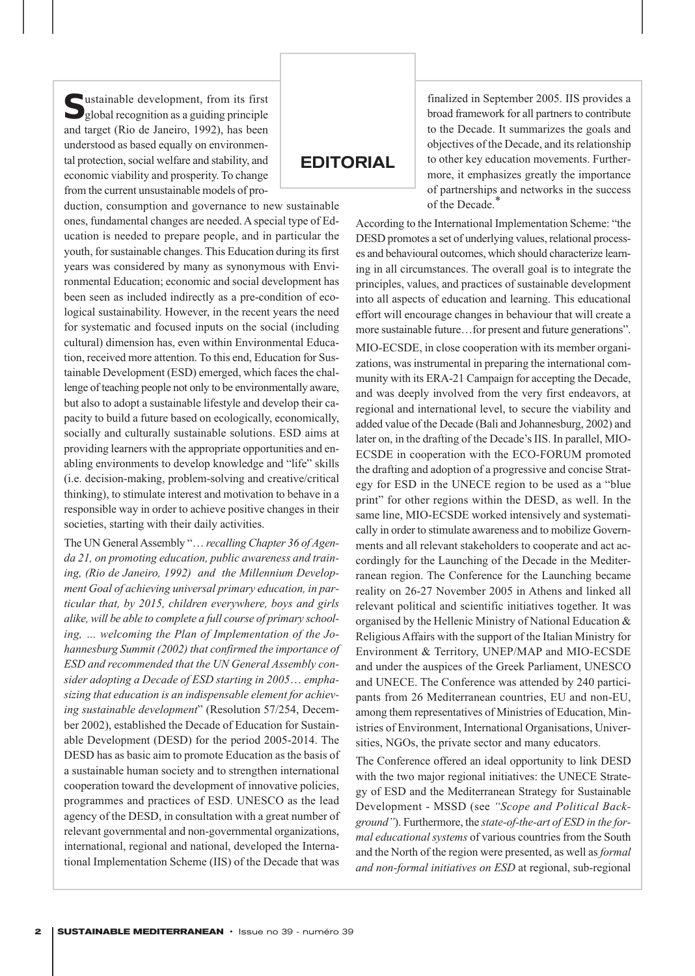**S**ustainable development, from its first global recognition as a guiding principle and target (Rio de Janeiro, 1992), has been understood as based equally on environmental protection, social welfare and stability, and economic viability and prosperity. To change from the current unsustainable models of pro-

duction, consumption and governance to new sustainable ones, fundamental changes are needed. A special type of Education is needed to prepare people, and in particular the youth, for sustainable changes. This Education during its first years was considered by many as synonymous with Environmental Education; economic and social development has been seen as included indirectly as a pre-condition of ecological sustainability. However, in the recent years the need for systematic and focused inputs on the social (including cultural) dimension has, even within Environmental Education, received more attention. To this end, Education for Sustainable Development (ESD) emerged, which faces the challenge of teaching people not only to be environmentally aware, but also to adopt a sustainable lifestyle and develop their capacity to build a future based on ecologically, economically, socially and culturally sustainable solutions. ESD aims at providing learners with the appropriate opportunities and enabling environments to develop knowledge and "life" skills (i.e. decision-making, problem-solving and creative/critical thinking), to stimulate interest and motivation to behave in a responsible way in order to achieve positive changes in their societies, starting with their daily activities.

The UN General Assembly "… *recalling Chapter 36 of Agenda 21, on promoting education, public awareness and training, (Rio de Janeiro, 1992) and the Millennium Development Goal of achieving universal primary education, in particular that, by 2015, children everywhere, boys and girls alike, will be able to complete a full course of primary schooling, … welcoming the Plan of Implementation of the Johannesburg Summit (2002) that confirmed the importance of ESD and recommended that the UN General Assembly consider adopting a Decade of ESD starting in 2005*… *emphasizing that education is an indispensable element for achieving sustainable development*" (Resolution 57/254, December 2002), established the Decade of Education for Sustainable Development (DESD) for the period 2005-2014. The DESD has as basic aim to promote Education as the basis of a sustainable human society and to strengthen international cooperation toward the development of innovative policies, programmes and practices of ESD. UNESCO as the lead agency of the DESD, in consultation with a great number of relevant governmental and non-governmental organizations, international, regional and national, developed the International Implementation Scheme (IIS) of the Decade that was

### **EDITORIAL**

finalized in September 2005. IIS provides a broad framework for all partners to contribute to the Decade. It summarizes the goals and objectives of the Decade, and its relationship to other key education movements. Furthermore, it emphasizes greatly the importance of partnerships and networks in the success of the Decade.\*

According to the International Implementation Scheme: "the DESD promotes a set of underlying values, relational processes and behavioural outcomes, which should characterize learning in all circumstances. The overall goal is to integrate the principles, values, and practices of sustainable development into all aspects of education and learning. This educational effort will encourage changes in behaviour that will create a more sustainable future…for present and future generations".

MIO-ECSDE, in close cooperation with its member organizations, was instrumental in preparing the international community with its ERA-21 Campaign for accepting the Decade, and was deeply involved from the very first endeavors, at regional and international level, to secure the viability and added value of the Decade (Bali and Johannesburg, 2002) and later on, in the drafting of the Decade's IIS. In parallel, MIO-ECSDE in cooperation with the ECO-FORUM promoted the drafting and adoption of a progressive and concise Strategy for ESD in the UNECE region to be used as a "blue print" for other regions within the DESD, as well. In the same line, MIO-ECSDE worked intensively and systematically in order to stimulate awareness and to mobilize Governments and all relevant stakeholders to cooperate and act accordingly for the Launching of the Decade in the Mediterranean region. The Conference for the Launching became reality on 26-27 November 2005 in Athens and linked all relevant political and scientific initiatives together. It was organised by the Hellenic Ministry of National Education & Religious Affairs with the support of the Italian Ministry for Environment & Territory, UNEP/MAP and MIO-ECSDE and under the auspices of the Greek Parliament, UNESCO and UNECE. The Conference was attended by 240 participants from 26 Mediterranean countries, EU and non-EU, among them representatives of Ministries of Education, Ministries of Environment, International Organisations, Universities, NGOs, the private sector and many educators.

The Conference offered an ideal opportunity to link DESD with the two major regional initiatives: the UNECE Strategy of ESD and the Mediterranean Strategy for Sustainable Development - MSSD (see *"Scope and Political Background"*). Furthermore, the *state-of-the-art of ESD in the formal educational systems* of various countries from the South and the North of the region were presented, as well as *formal and non-formal initiatives on ESD* at regional, sub-regional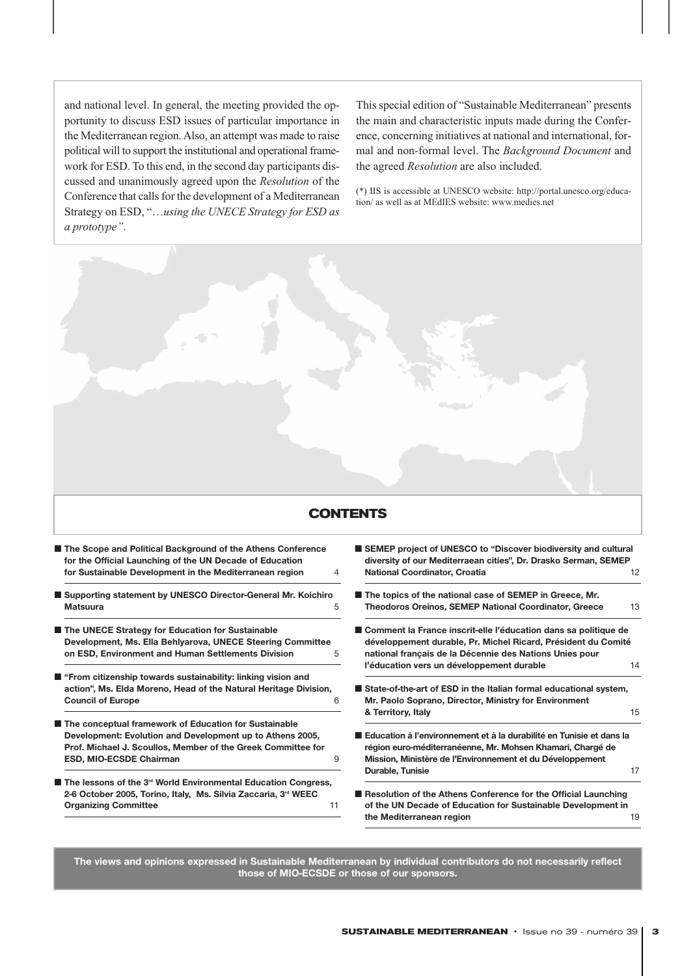and national level. In general, the meeting provided the opportunity to discuss ESD issues of particular importance in the Mediterranean region. Also, an attempt was made to raise political will to support the institutional and operational framework for ESD. To this end, in the second day participants discussed and unanimously agreed upon the *Resolution* of the Conference that calls for the development of a Mediterranean Strategy on ESD, "…*using the UNECE Strategy for ESD as a prototype"*.

This special edition of "Sustainable Mediterranean" presents the main and characteristic inputs made during the Conference, concerning initiatives at national and international, formal and non-formal level. The *Background Document* and the agreed *Resolution* are also included.

(\*) IIS is accessible at UNESCO website: http://portal.unesco.org/education/ as well as at MEdIES website: www.medies.net

# **CONTENTS**

|  | The Scope and Political Background of the Athens Conference<br>for the Official Launching of the UN Decade of Education |   |
|--|-------------------------------------------------------------------------------------------------------------------------|---|
|  | for Sustainable Development in the Mediterranean region                                                                 | 4 |
|  | Supporting statement by UNESCO Director-General Mr. Koichiro                                                            |   |
|  | Matsuura                                                                                                                | 5 |
|  | The UNECE Strategy for Education for Sustainable                                                                        |   |
|  | Development, Ms. Ella Behlyarova, UNECE Steering Committee                                                              |   |
|  | on ESD, Environment and Human Settlements Division                                                                      | 5 |
|  | "From citizenship towards sustainability: linking vision and                                                            |   |
|  | action", Ms. Elda Moreno, Head of the Natural Heritage Division,                                                        |   |
|  | <b>Council of Europe</b>                                                                                                | 6 |
|  | The conceptual framework of Education for Sustainable                                                                   |   |
|  | Development: Evolution and Development up to Athens 2005,                                                               |   |
|  | Prof. Michael J. Scoullos, Member of the Greek Committee for                                                            |   |
|  | <b>ESD, MIO-ECSDE Chairman</b>                                                                                          | 9 |
|  |                                                                                                                         |   |

■ The lessons of the 3<sup>rd</sup> World Environmental Education Congress, **2-6 October 2005, Torino, Italy, Ms. Silvia Zaccaria, 3rd WEEC Organizing Committee 11 and 2016 11 and 2016 12 and 2016 12 and 2016 12 and 2016 12 and 2016 12 and 2016 12 and 2016 12 and 2016 12 and 2016 12 and 2016 12 and 2016 12 and 2016 12 and 2016 12 and 2016 12 and 2016 12 and 2** 

- **SEMEP** project of UNESCO to "Discover biodiversity and cultural **diversity of our Mediterraean cities", Dr. Drasko Serman, SEMEP National Coordinator, Croatia** 12
- The topics of the national case of SEMEP in Greece, Mr. **Theodoros Oreinos, SEMEP National Coordinator, Greece** 13
- Comment la France inscrit-elle l'éducation dans sa politique de **développement durable, Pr. Michel Ricard, Président du Comité national français de la Décennie des Nations Unies pour l'éducation vers un développement durable** 14
- State-of-the-art of ESD in the Italian formal educational system, **Mr. Paolo Soprano, Director, Ministry for Environment & Territory, Italy** 15
- **Education à l'environnement et à la durabilité en Tunisie et dans la région euro-méditerranéenne, Mr. Mohsen Khamari, Chargé de Mission, Ministère de l'Environnement et du Développement Durable, Tunisie** 17
- Resolution of the Athens Conference for the Official Launching **of the UN Decade of Education for Sustainable Development in the Mediterranean region** 19

**The views and opinions expressed in Sustainable Mediterranean by individual contributors do not necessarily reflect those of MIO-ECSDE or those of our sponsors.**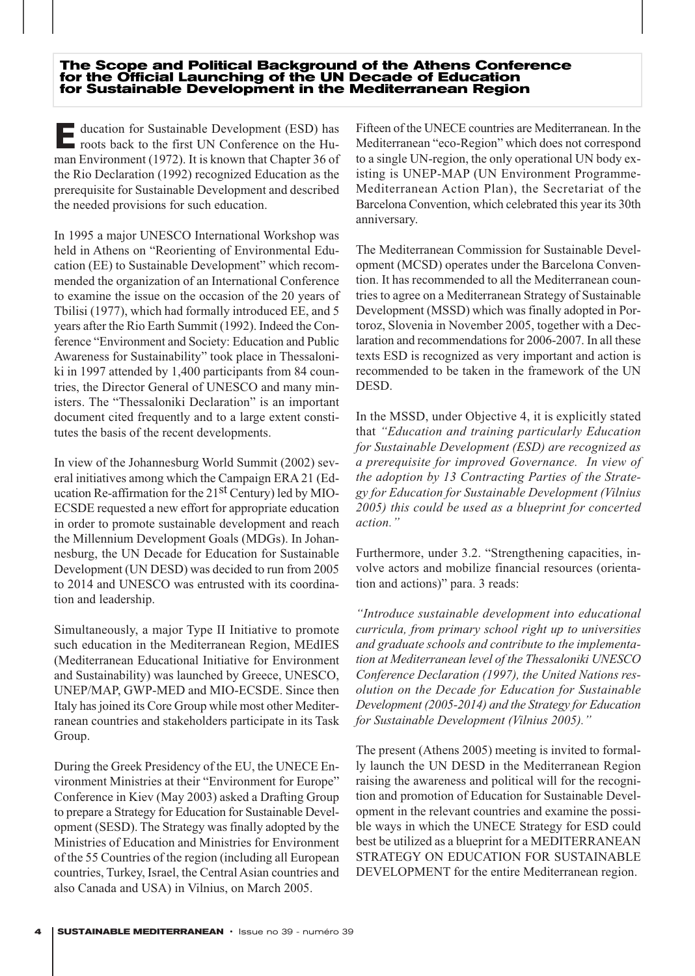#### **The Scope and Political Background of the Athens Conference for the Official Launching of the UN Decade of Education for Sustainable Development in the Mediterranean Region**

**E**ducation for Sustainable Development (ESD) has roots back to the first UN Conference on the Human Environment (1972). It is known that Chapter 36 of the Rio Declaration (1992) recognized Education as the prerequisite for Sustainable Development and described the needed provisions for such education.

In 1995 a major UNESCO International Workshop was held in Athens on "Reorienting of Environmental Education (EE) to Sustainable Development" which recommended the organization of an International Conference to examine the issue on the occasion of the 20 years of Tbilisi (1977), which had formally introduced EE, and 5 years after the Rio Earth Summit (1992). Indeed the Conference "Environment and Society: Education and Public Awareness for Sustainability" took place in Thessaloniki in 1997 attended by 1,400 participants from 84 countries, the Director General of UNESCO and many ministers. The "Thessaloniki Declaration" is an important document cited frequently and to a large extent constitutes the basis of the recent developments.

In view of the Johannesburg World Summit (2002) several initiatives among which the Campaign ERA 21 (Education Re-affirmation for the  $21<sup>st</sup>$  Century) led by MIO-ECSDE requested a new effort for appropriate education in order to promote sustainable development and reach the Millennium Development Goals (MDGs). In Johannesburg, the UN Decade for Education for Sustainable Development (UN DESD) was decided to run from 2005 to 2014 and UNESCO was entrusted with its coordination and leadership.

Simultaneously, a major Type II Initiative to promote such education in the Mediterranean Region, MEdIES (Mediterranean Educational Initiative for Environment and Sustainability) was launched by Greece, UNESCO, UNEP/MAP, GWP-MED and MIO-ECSDE. Since then Italy has joined its Core Group while most other Mediterranean countries and stakeholders participate in its Task Group.

During the Greek Presidency of the EU, the UNECE Environment Ministries at their "Environment for Europe" Conference in Kiev (May 2003) asked a Drafting Group to prepare a Strategy for Education for Sustainable Development (SESD). The Strategy was finally adopted by the Ministries of Education and Ministries for Environment of the 55 Countries of the region (including all European countries, Turkey, Israel, the Central Asian countries and also Canada and USA) in Vilnius, on March 2005.

Fifteen of the UNECE countries are Mediterranean. In the Mediterranean "eco-Region" which does not correspond to a single UN-region, the only operational UN body existing is UNEP-MAP (UN Environment Programme-Mediterranean Action Plan), the Secretariat of the Barcelona Convention, which celebrated this year its 30th anniversary.

The Mediterranean Commission for Sustainable Development (MCSD) operates under the Barcelona Convention. It has recommended to all the Mediterranean countries to agree on a Mediterranean Strategy of Sustainable Development (MSSD) which was finally adopted in Portoroz, Slovenia in November 2005, together with a Declaration and recommendations for 2006-2007. In all these texts ESD is recognized as very important and action is recommended to be taken in the framework of the UN DESD.

In the MSSD, under Objective 4, it is explicitly stated that *"Education and training particularly Education for Sustainable Development (ESD) are recognized as a prerequisite for improved Governance. In view of the adoption by 13 Contracting Parties of the Strategy for Education for Sustainable Development (Vilnius 2005) this could be used as a blueprint for concerted action."*

Furthermore, under 3.2. "Strengthening capacities, involve actors and mobilize financial resources (orientation and actions)" para. 3 reads:

*"Introduce sustainable development into educational curricula, from primary school right up to universities and graduate schools and contribute to the implementation at Mediterranean level of the Thessaloniki UNESCO Conference Declaration (1997), the United Nations resolution on the Decade for Education for Sustainable Development (2005-2014) and the Strategy for Education for Sustainable Development (Vilnius 2005)."*

The present (Athens 2005) meeting is invited to formally launch the UN DESD in the Mediterranean Region raising the awareness and political will for the recognition and promotion of Education for Sustainable Development in the relevant countries and examine the possible ways in which the UNECE Strategy for ESD could best be utilized as a blueprint for a MEDITERRANEAN STRATEGY ON EDUCATION FOR SUSTAINABLE DEVELOPMENT for the entire Mediterranean region.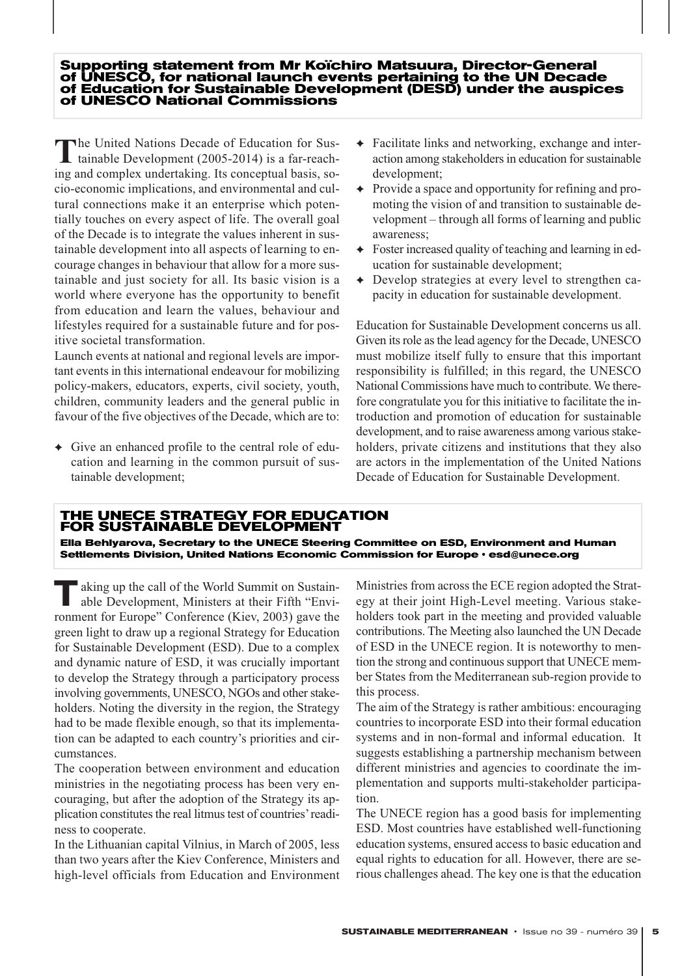#### **Supporting statement from Mr Koïchiro Matsuura, Director-General of UNESCO, for national launch events pertaining to the UN Decade of Education for Sustainable Development (DESD) under the auspices of UNESCO National Commissions**

The United Nations Decade of Education for Sustainable Development (2005-2014) is a far-reaching and complex undertaking. Its conceptual basis, socio-economic implications, and environmental and cultural connections make it an enterprise which potentially touches on every aspect of life. The overall goal of the Decade is to integrate the values inherent in sustainable development into all aspects of learning to encourage changes in behaviour that allow for a more sustainable and just society for all. Its basic vision is a world where everyone has the opportunity to benefit from education and learn the values, behaviour and lifestyles required for a sustainable future and for positive societal transformation.

Launch events at national and regional levels are important events in this international endeavour for mobilizing policy-makers, educators, experts, civil society, youth, children, community leaders and the general public in favour of the five objectives of the Decade, which are to:

✦ Give an enhanced profile to the central role of education and learning in the common pursuit of sustainable development;

- ✦ Facilitate links and networking, exchange and interaction among stakeholders in education for sustainable development;
- ✦ Provide a space and opportunity for refining and promoting the vision of and transition to sustainable development – through all forms of learning and public awareness;
- ✦ Foster increased quality of teaching and learning in education for sustainable development;
- ✦ Develop strategies at every level to strengthen capacity in education for sustainable development.

Education for Sustainable Development concerns us all. Given its role as the lead agency for the Decade, UNESCO must mobilize itself fully to ensure that this important responsibility is fulfilled; in this regard, the UNESCO National Commissions have much to contribute. We therefore congratulate you for this initiative to facilitate the introduction and promotion of education for sustainable development, and to raise awareness among various stakeholders, private citizens and institutions that they also are actors in the implementation of the United Nations Decade of Education for Sustainable Development.

#### **THE UNECE STRATEGY FOR EDUCATION FOR SUSTAINABLE DEVELOPMENT**

**Ella Behlyarova, Secretary to the UNECE Steering Committee on ESD, Environment and Human Settlements Division, United Nations Economic Commission for Europe ñ esd@unece.org**

**T**aking up the call of the World Summit on Sustainable Development, Ministers at their Fifth "Environment for Europe" Conference (Kiev, 2003) gave the green light to draw up a regional Strategy for Education for Sustainable Development (ESD). Due to a complex and dynamic nature of ESD, it was crucially important to develop the Strategy through a participatory process involving governments, UNESCO, NGOs and other stakeholders. Noting the diversity in the region, the Strategy had to be made flexible enough, so that its implementation can be adapted to each country's priorities and circumstances.

The cooperation between environment and education ministries in the negotiating process has been very encouraging, but after the adoption of the Strategy its application constitutes the real litmus test of countries'readiness to cooperate.

In the Lithuanian capital Vilnius, in March of 2005, less than two years after the Kiev Conference, Ministers and high-level officials from Education and Environment Ministries from across the ECE region adopted the Strategy at their joint High-Level meeting. Various stakeholders took part in the meeting and provided valuable contributions. The Meeting also launched the UN Decade of ESD in the UNECE region. It is noteworthy to mention the strong and continuous support that UNECE member States from the Mediterranean sub-region provide to this process.

The aim of the Strategy is rather ambitious: encouraging countries to incorporate ESD into their formal education systems and in non-formal and informal education. It suggests establishing a partnership mechanism between different ministries and agencies to coordinate the implementation and supports multi-stakeholder participation.

The UNECE region has a good basis for implementing ESD. Most countries have established well-functioning education systems, ensured access to basic education and equal rights to education for all. However, there are serious challenges ahead. The key one is that the education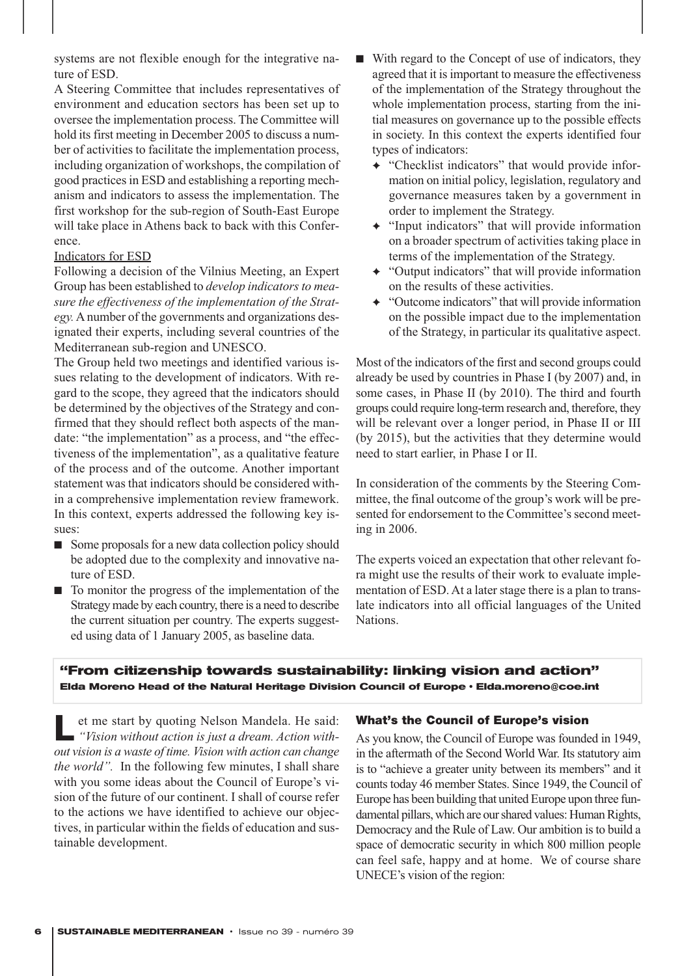systems are not flexible enough for the integrative nature of ESD.

A Steering Committee that includes representatives of environment and education sectors has been set up to oversee the implementation process. The Committee will hold its first meeting in December 2005 to discuss a number of activities to facilitate the implementation process, including organization of workshops, the compilation of good practices in ESD and establishing a reporting mechanism and indicators to assess the implementation. The first workshop for the sub-region of South-East Europe will take place in Athens back to back with this Conference.

#### Indicators for ESD

Following a decision of the Vilnius Meeting, an Expert Group has been established to *develop indicators to measure the effectiveness of the implementation of the Strategy.*A number of the governments and organizations designated their experts, including several countries of the Mediterranean sub-region and UNESCO.

The Group held two meetings and identified various issues relating to the development of indicators. With regard to the scope, they agreed that the indicators should be determined by the objectives of the Strategy and confirmed that they should reflect both aspects of the mandate: "the implementation" as a process, and "the effectiveness of the implementation", as a qualitative feature of the process and of the outcome. Another important statement was that indicators should be considered within a comprehensive implementation review framework. In this context, experts addressed the following key issues:

- Some proposals for a new data collection policy should be adopted due to the complexity and innovative nature of ESD.
- To monitor the progress of the implementation of the Strategy made by each country, there is a need to describe the current situation per country. The experts suggested using data of 1 January 2005, as baseline data.
- With regard to the Concept of use of indicators, they agreed that it is important to measure the effectiveness of the implementation of the Strategy throughout the whole implementation process, starting from the initial measures on governance up to the possible effects in society. In this context the experts identified four types of indicators:
	- ✦ "Checklist indicators" that would provide information on initial policy, legislation, regulatory and governance measures taken by a government in order to implement the Strategy.
	- ✦ "Input indicators" that will provide information on a broader spectrum of activities taking place in terms of the implementation of the Strategy.
	- ✦ "Output indicators" that will provide information on the results of these activities.
	- ✦ "Outcome indicators" that will provide information on the possible impact due to the implementation of the Strategy, in particular its qualitative aspect.

Most of the indicators of the first and second groups could already be used by countries in Phase I (by 2007) and, in some cases, in Phase II (by 2010). The third and fourth groups could require long-term research and, therefore, they will be relevant over a longer period, in Phase II or III (by 2015), but the activities that they determine would need to start earlier, in Phase I or II.

In consideration of the comments by the Steering Committee, the final outcome of the group's work will be presented for endorsement to the Committee's second meeting in 2006.

The experts voiced an expectation that other relevant fora might use the results of their work to evaluate implementation of ESD. At a later stage there is a plan to translate indicators into all official languages of the United Nations.

#### **"From citizenship towards sustainability: linking vision and action"** Elda Moreno Head of the Natural Heritage Division Council of Europe · Elda.moreno@coe.int

**L**et me start by quoting Nelson Mandela. He said:<br> *"Vision without action is just a dream. Action without vision is a waste of time. Vision with action can change the world".* In the following few minutes, I shall share with you some ideas about the Council of Europe's vision of the future of our continent. I shall of course refer to the actions we have identified to achieve our objectives, in particular within the fields of education and sustainable development.

#### What's the Council of Europe's vision

As you know, the Council of Europe was founded in 1949, in the aftermath of the Second World War. Its statutory aim is to "achieve a greater unity between its members" and it counts today 46 member States. Since 1949, the Council of Europe has been building that united Europe upon three fundamental pillars, which are our shared values: Human Rights, Democracy and the Rule of Law. Our ambition is to build a space of democratic security in which 800 million people can feel safe, happy and at home. We of course share UNECE's vision of the region: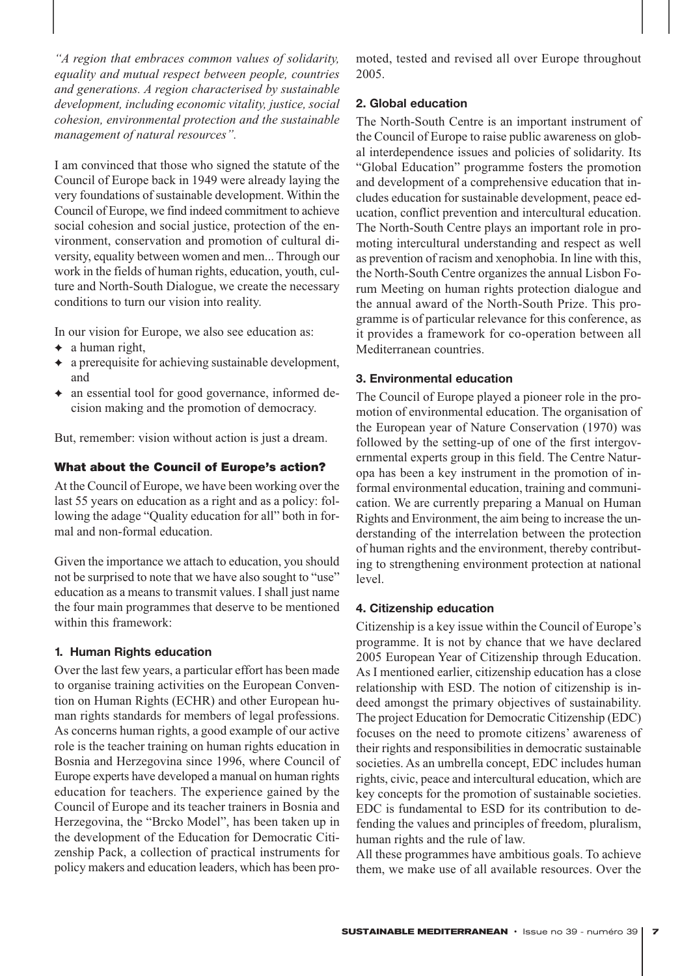*"A region that embraces common values of solidarity, equality and mutual respect between people, countries and generations. A region characterised by sustainable development, including economic vitality, justice, social cohesion, environmental protection and the sustainable management of natural resources".*

I am convinced that those who signed the statute of the Council of Europe back in 1949 were already laying the very foundations of sustainable development. Within the Council of Europe, we find indeed commitment to achieve social cohesion and social justice, protection of the environment, conservation and promotion of cultural diversity, equality between women and men... Through our work in the fields of human rights, education, youth, culture and North-South Dialogue, we create the necessary conditions to turn our vision into reality.

In our vision for Europe, we also see education as:

- $\leftrightarrow$  a human right,
- $\leftrightarrow$  a prerequisite for achieving sustainable development, and
- ✦ an essential tool for good governance, informed decision making and the promotion of democracy.

But, remember: vision without action is just a dream.

#### What about the Council of Europe's action?

At the Council of Europe, we have been working over the last 55 years on education as a right and as a policy: following the adage "Quality education for all" both in formal and non-formal education.

Given the importance we attach to education, you should not be surprised to note that we have also sought to "use" education as a means to transmit values. I shall just name the four main programmes that deserve to be mentioned within this framework:

#### **1. Human Rights education**

Over the last few years, a particular effort has been made to organise training activities on the European Convention on Human Rights (ECHR) and other European human rights standards for members of legal professions. As concerns human rights, a good example of our active role is the teacher training on human rights education in Bosnia and Herzegovina since 1996, where Council of Europe experts have developed a manual on human rights education for teachers. The experience gained by the Council of Europe and its teacher trainers in Bosnia and Herzegovina, the "Brcko Model", has been taken up in the development of the Education for Democratic Citizenship Pack, a collection of practical instruments for policy makers and education leaders, which has been promoted, tested and revised all over Europe throughout 2005.

#### **2. Global education**

The North-South Centre is an important instrument of the Council of Europe to raise public awareness on global interdependence issues and policies of solidarity. Its "Global Education" programme fosters the promotion and development of a comprehensive education that includes education for sustainable development, peace education, conflict prevention and intercultural education. The North-South Centre plays an important role in promoting intercultural understanding and respect as well as prevention of racism and xenophobia. In line with this, the North-South Centre organizes the annual Lisbon Forum Meeting on human rights protection dialogue and the annual award of the North-South Prize. This programme is of particular relevance for this conference, as it provides a framework for co-operation between all Mediterranean countries.

#### **3. Environmental education**

The Council of Europe played a pioneer role in the promotion of environmental education. The organisation of the European year of Nature Conservation (1970) was followed by the setting-up of one of the first intergovernmental experts group in this field. The Centre Naturopa has been a key instrument in the promotion of informal environmental education, training and communication. We are currently preparing a Manual on Human Rights and Environment, the aim being to increase the understanding of the interrelation between the protection of human rights and the environment, thereby contributing to strengthening environment protection at national level.

#### **4. Citizenship education**

Citizenship is a key issue within the Council of Europe's programme. It is not by chance that we have declared 2005 European Year of Citizenship through Education. As I mentioned earlier, citizenship education has a close relationship with ESD. The notion of citizenship is indeed amongst the primary objectives of sustainability. The project Education for Democratic Citizenship (EDC) focuses on the need to promote citizens' awareness of their rights and responsibilities in democratic sustainable societies. As an umbrella concept, EDC includes human rights, civic, peace and intercultural education, which are key concepts for the promotion of sustainable societies. EDC is fundamental to ESD for its contribution to defending the values and principles of freedom, pluralism, human rights and the rule of law.

All these programmes have ambitious goals. To achieve them, we make use of all available resources. Over the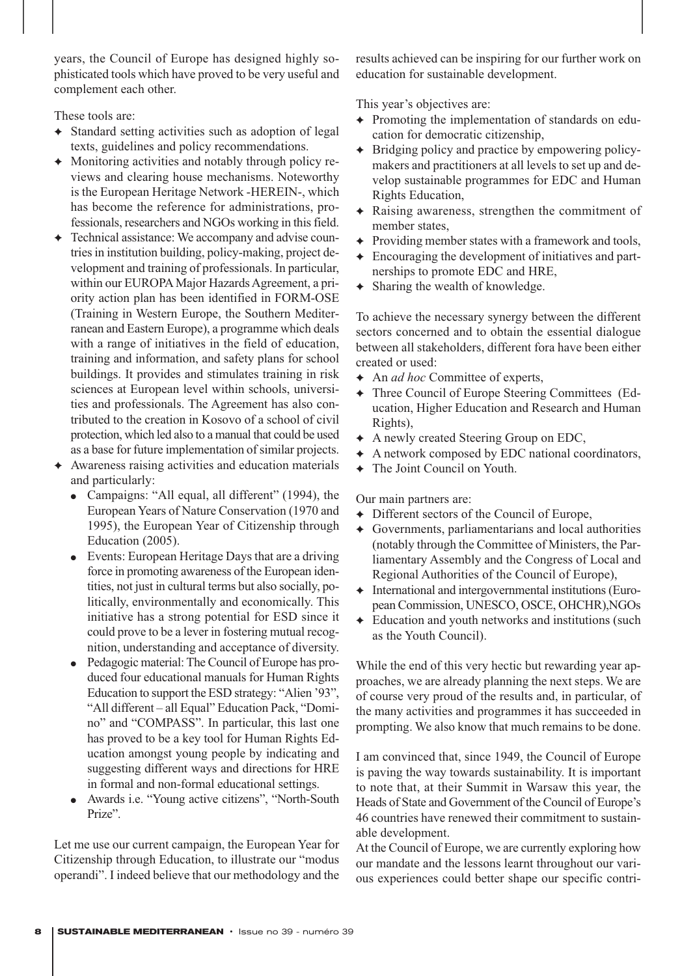years, the Council of Europe has designed highly sophisticated tools which have proved to be very useful and complement each other.

These tools are:

- ✦ Standard setting activities such as adoption of legal texts, guidelines and policy recommendations.
- ✦ Monitoring activities and notably through policy reviews and clearing house mechanisms. Noteworthy is the European Heritage Network -HEREIN-, which has become the reference for administrations, professionals, researchers and NGOs working in this field.
- Technical assistance: We accompany and advise countries in institution building, policy-making, project development and training of professionals. In particular, within our EUROPA Major Hazards Agreement, a priority action plan has been identified in FORM-OSE (Training in Western Europe, the Southern Mediterranean and Eastern Europe), a programme which deals with a range of initiatives in the field of education, training and information, and safety plans for school buildings. It provides and stimulates training in risk sciences at European level within schools, universities and professionals. The Agreement has also contributed to the creation in Kosovo of a school of civil protection, which led also to a manual that could be used as a base for future implementation of similar projects.
- Awareness raising activities and education materials and particularly:
	- Campaigns: "All equal, all different" (1994), the European Years of Nature Conservation (1970 and 1995), the European Year of Citizenship through Education (2005).
	- Events: European Heritage Days that are a driving force in promoting awareness of the European identities, not just in cultural terms but also socially, politically, environmentally and economically. This initiative has a strong potential for ESD since it could prove to be a lever in fostering mutual recognition, understanding and acceptance of diversity.
	- Pedagogic material: The Council of Europe has produced four educational manuals for Human Rights Education to support the ESD strategy: "Alien '93", "All different – all Equal" Education Pack, "Domino" and "COMPASS". In particular, this last one has proved to be a key tool for Human Rights Education amongst young people by indicating and suggesting different ways and directions for HRE in formal and non-formal educational settings.
	- Awards i.e. "Young active citizens", "North-South Prize".

Let me use our current campaign, the European Year for Citizenship through Education, to illustrate our "modus operandi". I indeed believe that our methodology and the results achieved can be inspiring for our further work on education for sustainable development.

This year's objectives are:

- ✦ Promoting the implementation of standards on education for democratic citizenship,
- ✦ Bridging policy and practice by empowering policymakers and practitioners at all levels to set up and develop sustainable programmes for EDC and Human Rights Education,
- ✦ Raising awareness, strengthen the commitment of member states,
- ✦ Providing member states with a framework and tools,
- ✦ Encouraging the development of initiatives and partnerships to promote EDC and HRE,
- ✦ Sharing the wealth of knowledge.

To achieve the necessary synergy between the different sectors concerned and to obtain the essential dialogue between all stakeholders, different fora have been either created or used:

- ✦ An *ad hoc* Committee of experts,
- ✦ Three Council of Europe Steering Committees (Education, Higher Education and Research and Human Rights),
- ✦ A newly created Steering Group on EDC,
- ✦ A network composed by EDC national coordinators,
- ✦ The Joint Council on Youth.

Our main partners are:

- ✦ Different sectors of the Council of Europe,
- ✦ Governments, parliamentarians and local authorities (notably through the Committee of Ministers, the Parliamentary Assembly and the Congress of Local and Regional Authorities of the Council of Europe),
- ✦ International and intergovernmental institutions (European Commission, UNESCO, OSCE, OHCHR),NGOs
- $\triangleleft$  Education and youth networks and institutions (such as the Youth Council).

While the end of this very hectic but rewarding year approaches, we are already planning the next steps. We are of course very proud of the results and, in particular, of the many activities and programmes it has succeeded in prompting. We also know that much remains to be done.

I am convinced that, since 1949, the Council of Europe is paving the way towards sustainability. It is important to note that, at their Summit in Warsaw this year, the Heads of State and Government of the Council of Europe's 46 countries have renewed their commitment to sustainable development.

At the Council of Europe, we are currently exploring how our mandate and the lessons learnt throughout our various experiences could better shape our specific contri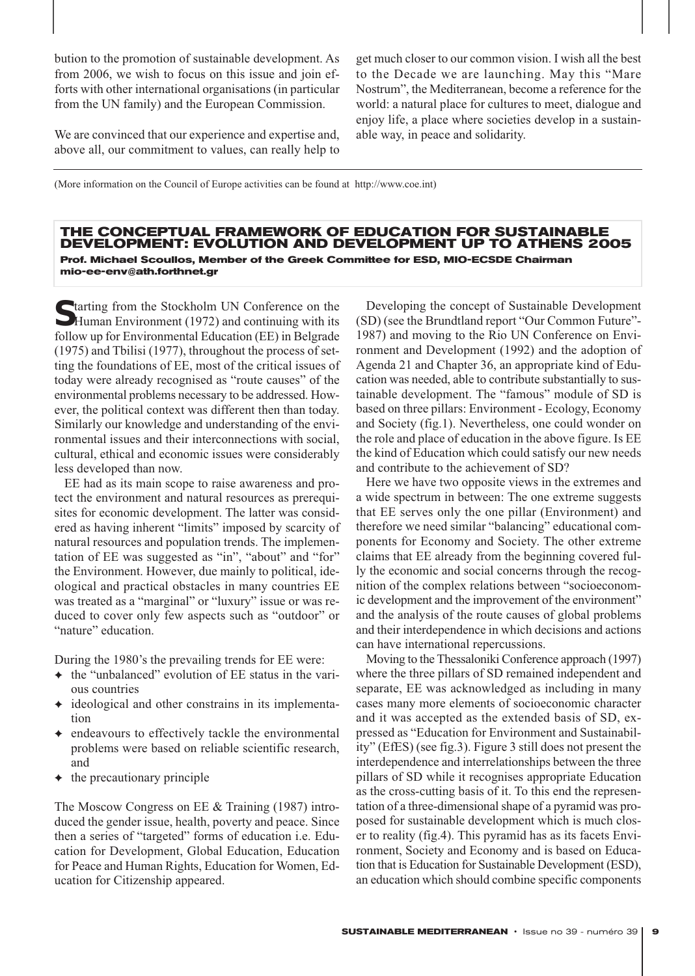bution to the promotion of sustainable development. As from 2006, we wish to focus on this issue and join efforts with other international organisations (in particular from the UN family) and the European Commission.

We are convinced that our experience and expertise and, above all, our commitment to values, can really help to get much closer to our common vision. I wish all the best to the Decade we are launching. May this "Mare Nostrum", the Mediterranean, become a reference for the world: a natural place for cultures to meet, dialogue and enjoy life, a place where societies develop in a sustainable way, in peace and solidarity.

(More information on the Council of Europe activities can be found at http://www.coe.int)

#### **THE CONCEPTUAL FRAMEWORK OF EDUCATION FOR SUSTAINABLE DEVELOPMENT: EVOLUTION AND DEVELOPMENT UP TO ATHENS 2005 Prof. Michael Scoullos, Member of the Greek Committee for ESD, MIO-ECSDE Chairman mio-ee-env@ath.forthnet.gr**

**S** tarting from the Stockholm UN Conference on the Human Environment (1972) and continuing with its follow up for Environmental Education (EE) in Belgrade (1975) and Tbilisi (1977), throughout the process of setting the foundations of EE, most of the critical issues of today were already recognised as "route causes" of the environmental problems necessary to be addressed. However, the political context was different then than today. Similarly our knowledge and understanding of the environmental issues and their interconnections with social, cultural, ethical and economic issues were considerably less developed than now.

EE had as its main scope to raise awareness and protect the environment and natural resources as prerequisites for economic development. The latter was considered as having inherent "limits" imposed by scarcity of natural resources and population trends. The implementation of EE was suggested as "in", "about" and "for" the Environment. However, due mainly to political, ideological and practical obstacles in many countries EE was treated as a "marginal" or "luxury" issue or was reduced to cover only few aspects such as "outdoor" or "nature" education.

During the 1980's the prevailing trends for EE were:

- $\triangleq$  the "unbalanced" evolution of EE status in the various countries
- ✦ ideological and other constrains in its implementation
- endeavours to effectively tackle the environmental problems were based on reliable scientific research, and
- $\leftrightarrow$  the precautionary principle

The Moscow Congress on EE & Training (1987) introduced the gender issue, health, poverty and peace. Since then a series of "targeted" forms of education i.e. Education for Development, Global Education, Education for Peace and Human Rights, Education for Women, Education for Citizenship appeared.

Developing the concept of Sustainable Development (SD) (see the Brundtland report "Our Common Future"- 1987) and moving to the Rio UN Conference on Environment and Development (1992) and the adoption of Agenda 21 and Chapter 36, an appropriate kind of Education was needed, able to contribute substantially to sustainable development. The "famous" module of SD is based on three pillars: Environment - Ecology, Economy and Society (fig.1). Nevertheless, one could wonder on the role and place of education in the above figure. Is EE the kind of Education which could satisfy our new needs and contribute to the achievement of SD?

Here we have two opposite views in the extremes and a wide spectrum in between: The one extreme suggests that EE serves only the one pillar (Environment) and therefore we need similar "balancing" educational components for Economy and Society. The other extreme claims that EE already from the beginning covered fully the economic and social concerns through the recognition of the complex relations between "socioeconomic development and the improvement of the environment" and the analysis of the route causes of global problems and their interdependence in which decisions and actions can have international repercussions.

Moving to the Thessaloniki Conference approach (1997) where the three pillars of SD remained independent and separate, EE was acknowledged as including in many cases many more elements of socioeconomic character and it was accepted as the extended basis of SD, expressed as "Education for Environment and Sustainability" (EfES) (see fig.3). Figure 3 still does not present the interdependence and interrelationships between the three pillars of SD while it recognises appropriate Education as the cross-cutting basis of it. To this end the representation of a three-dimensional shape of a pyramid was proposed for sustainable development which is much closer to reality (fig.4). This pyramid has as its facets Environment, Society and Economy and is based on Education that is Education for Sustainable Development (ESD), an education which should combine specific components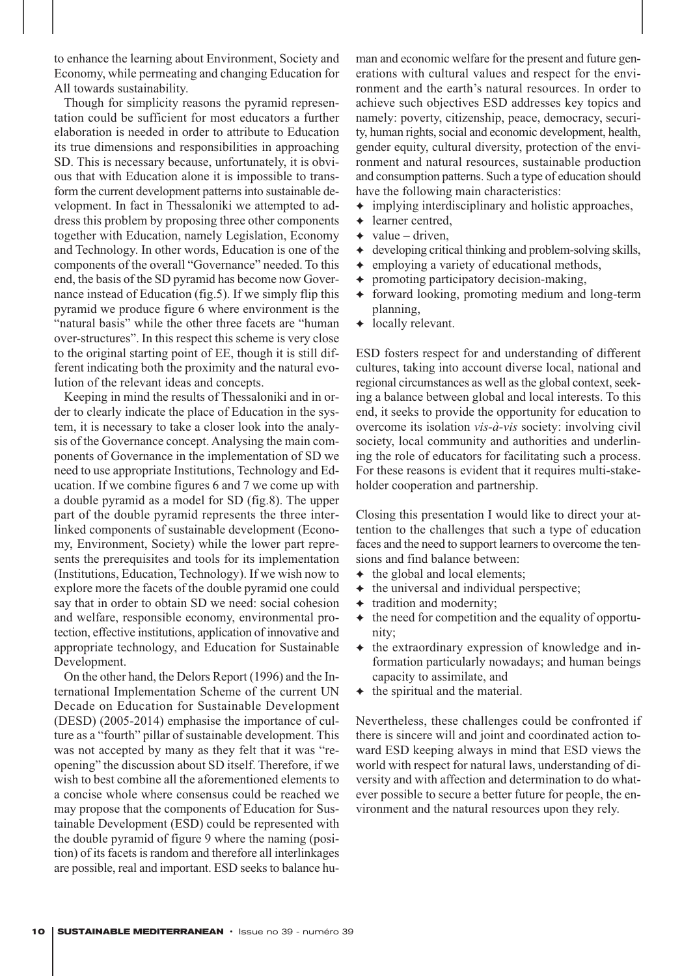to enhance the learning about Environment, Society and Economy, while permeating and changing Education for All towards sustainability.

Though for simplicity reasons the pyramid representation could be sufficient for most educators a further elaboration is needed in order to attribute to Education its true dimensions and responsibilities in approaching SD. This is necessary because, unfortunately, it is obvious that with Education alone it is impossible to transform the current development patterns into sustainable development. In fact in Thessaloniki we attempted to address this problem by proposing three other components together with Education, namely Legislation, Economy and Technology. In other words, Education is one of the components of the overall "Governance" needed. To this end, the basis of the SD pyramid has become now Governance instead of Education (fig.5). If we simply flip this pyramid we produce figure 6 where environment is the "natural basis" while the other three facets are "human over-structures". In this respect this scheme is very close to the original starting point of EE, though it is still different indicating both the proximity and the natural evolution of the relevant ideas and concepts.

Keeping in mind the results of Thessaloniki and in order to clearly indicate the place of Education in the system, it is necessary to take a closer look into the analysis of the Governance concept. Analysing the main components of Governance in the implementation of SD we need to use appropriate Institutions, Technology and Education. If we combine figures 6 and 7 we come up with a double pyramid as a model for SD (fig.8). The upper part of the double pyramid represents the three interlinked components of sustainable development (Economy, Environment, Society) while the lower part represents the prerequisites and tools for its implementation (Institutions, Education, Technology). If we wish now to explore more the facets of the double pyramid one could say that in order to obtain SD we need: social cohesion and welfare, responsible economy, environmental protection, effective institutions, application of innovative and appropriate technology, and Education for Sustainable Development.

On the other hand, the Delors Report (1996) and the International Implementation Scheme of the current UN Decade on Education for Sustainable Development (DESD) (2005-2014) emphasise the importance of culture as a "fourth" pillar of sustainable development. This was not accepted by many as they felt that it was "reopening" the discussion about SD itself. Therefore, if we wish to best combine all the aforementioned elements to a concise whole where consensus could be reached we may propose that the components of Education for Sustainable Development (ESD) could be represented with the double pyramid of figure 9 where the naming (position) of its facets is random and therefore all interlinkages are possible, real and important. ESD seeks to balance human and economic welfare for the present and future generations with cultural values and respect for the environment and the earth's natural resources. In order to achieve such objectives ESD addresses key topics and namely: poverty, citizenship, peace, democracy, security, human rights, social and economic development, health, gender equity, cultural diversity, protection of the environment and natural resources, sustainable production and consumption patterns. Such a type of education should have the following main characteristics:

- ✦ implying interdisciplinary and holistic approaches,
- ✦ learner centred,
- $\rightarrow$  value driven,
- $\triangleleft$  developing critical thinking and problem-solving skills,
- ✦ employing a variety of educational methods,
- ✦ promoting participatory decision-making,
- ✦ forward looking, promoting medium and long-term planning,
- ← locally relevant.

ESD fosters respect for and understanding of different cultures, taking into account diverse local, national and regional circumstances as well as the global context, seeking a balance between global and local interests. To this end, it seeks to provide the opportunity for education to overcome its isolation *vis-à-vis* society: involving civil society, local community and authorities and underlining the role of educators for facilitating such a process. For these reasons is evident that it requires multi-stakeholder cooperation and partnership.

Closing this presentation I would like to direct your attention to the challenges that such a type of education faces and the need to support learners to overcome the tensions and find balance between:

- $\triangleleft$  the global and local elements;
- $\triangleleft$  the universal and individual perspective;
- ✦ tradition and modernity;
- $\triangleq$  the need for competition and the equality of opportunity;
- ✦ the extraordinary expression of knowledge and information particularly nowadays; and human beings capacity to assimilate, and
- $\triangleleft$  the spiritual and the material.

Nevertheless, these challenges could be confronted if there is sincere will and joint and coordinated action toward ESD keeping always in mind that ESD views the world with respect for natural laws, understanding of diversity and with affection and determination to do whatever possible to secure a better future for people, the environment and the natural resources upon they rely.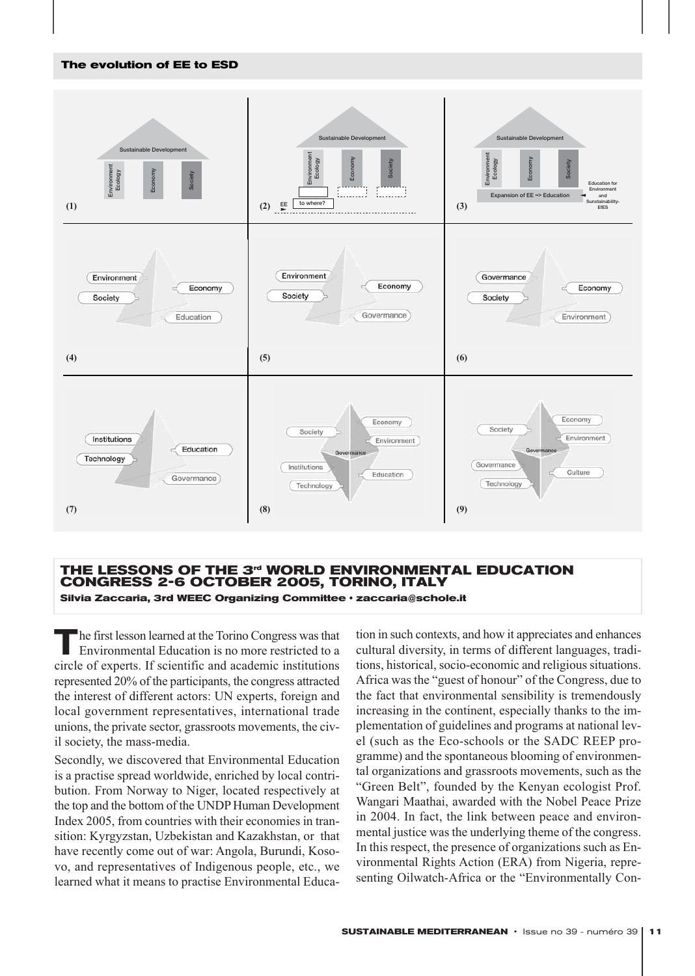#### **The evolution of EE to ESD**



#### **THE LESSONS OF THE 3rd WORLD ENVIRONMENTAL EDUCATION CONGRESS 2-6 OCTOBER 2005, TORINO, ITALY Silvia Zaccaria, 3rd WEEC Organizing Committee ñ zaccaria@schole.it**

**T**he first lesson learned at the Torino Congress was that Environmental Education is no more restricted to a circle of experts. If scientific and academic institutions represented 20% of the participants, the congress attracted the interest of different actors: UN experts, foreign and local government representatives, international trade unions, the private sector, grassroots movements, the civil society, the mass-media.

Secondly, we discovered that Environmental Education is a practise spread worldwide, enriched by local contribution. From Norway to Niger, located respectively at the top and the bottom of the UNDP Human Development Index 2005, from countries with their economies in transition: Kyrgyzstan, Uzbekistan and Kazakhstan, or that have recently come out of war: Angola, Burundi, Kosovo, and representatives of Indigenous people, etc., we learned what it means to practise Environmental Education in such contexts, and how it appreciates and enhances cultural diversity, in terms of different languages, traditions, historical, socio-economic and religious situations. Africa was the "guest of honour" of the Congress, due to the fact that environmental sensibility is tremendously increasing in the continent, especially thanks to the implementation of guidelines and programs at national level (such as the Eco-schools or the SADC REEP programme) and the spontaneous blooming of environmental organizations and grassroots movements, such as the "Green Belt", founded by the Kenyan ecologist Prof. Wangari Maathai, awarded with the Nobel Peace Prize in 2004. In fact, the link between peace and environmental justice was the underlying theme of the congress. In this respect, the presence of organizations such as Environmental Rights Action (ERA) from Nigeria, representing Oilwatch-Africa or the "Environmentally Con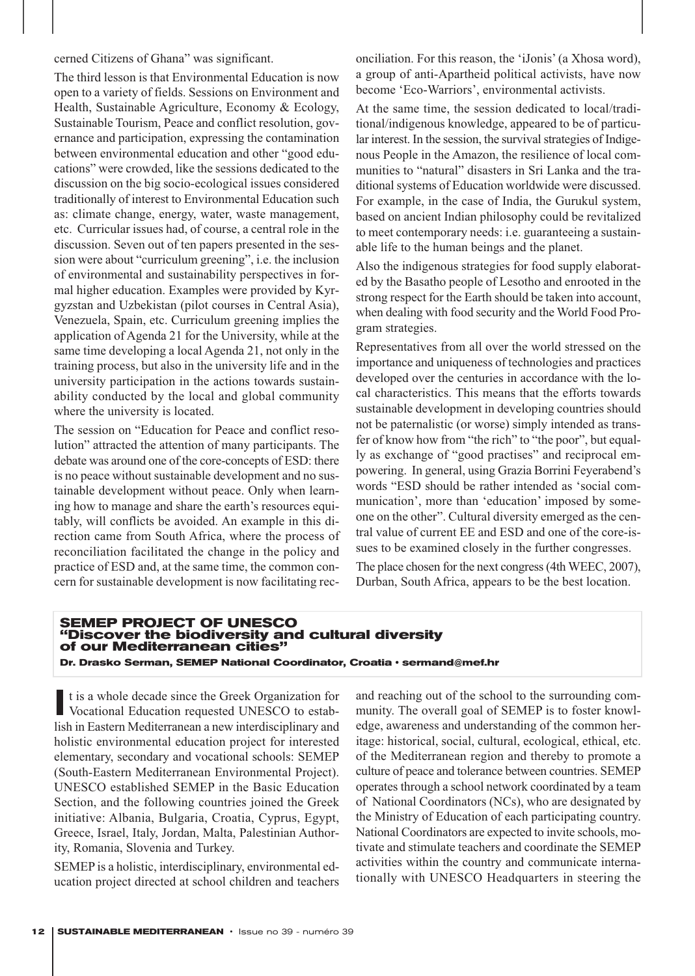cerned Citizens of Ghana" was significant.

The third lesson is that Environmental Education is now open to a variety of fields. Sessions on Environment and Health, Sustainable Agriculture, Economy & Ecology, Sustainable Tourism, Peace and conflict resolution, governance and participation, expressing the contamination between environmental education and other "good educations" were crowded, like the sessions dedicated to the discussion on the big socio-ecological issues considered traditionally of interest to Environmental Education such as: climate change, energy, water, waste management, etc. Curricular issues had, of course, a central role in the discussion. Seven out of ten papers presented in the session were about "curriculum greening", i.e. the inclusion of environmental and sustainability perspectives in formal higher education. Examples were provided by Kyrgyzstan and Uzbekistan (pilot courses in Central Asia), Venezuela, Spain, etc. Curriculum greening implies the application of Agenda 21 for the University, while at the same time developing a local Agenda 21, not only in the training process, but also in the university life and in the university participation in the actions towards sustainability conducted by the local and global community where the university is located.

The session on "Education for Peace and conflict resolution" attracted the attention of many participants. The debate was around one of the core-concepts of ESD: there is no peace without sustainable development and no sustainable development without peace. Only when learning how to manage and share the earth's resources equitably, will conflicts be avoided. An example in this direction came from South Africa, where the process of reconciliation facilitated the change in the policy and practice of ESD and, at the same time, the common concern for sustainable development is now facilitating reconciliation. For this reason, the 'iJonis' (a Xhosa word), a group of anti-Apartheid political activists, have now become 'Eco-Warriors', environmental activists.

At the same time, the session dedicated to local/traditional/indigenous knowledge, appeared to be of particular interest. In the session, the survival strategies of Indigenous People in the Amazon, the resilience of local communities to "natural" disasters in Sri Lanka and the traditional systems of Education worldwide were discussed. For example, in the case of India, the Gurukul system, based on ancient Indian philosophy could be revitalized to meet contemporary needs: i.e. guaranteeing a sustainable life to the human beings and the planet.

Also the indigenous strategies for food supply elaborated by the Basatho people of Lesotho and enrooted in the strong respect for the Earth should be taken into account, when dealing with food security and the World Food Program strategies.

Representatives from all over the world stressed on the importance and uniqueness of technologies and practices developed over the centuries in accordance with the local characteristics. This means that the efforts towards sustainable development in developing countries should not be paternalistic (or worse) simply intended as transfer of know how from "the rich" to "the poor", but equally as exchange of "good practises" and reciprocal empowering. In general, using Grazia Borrini Feyerabend's words "ESD should be rather intended as 'social communication', more than 'education' imposed by someone on the other". Cultural diversity emerged as the central value of current EE and ESD and one of the core-issues to be examined closely in the further congresses. The place chosen for the next congress (4th WEEC, 2007), Durban, South Africa, appears to be the best location.

#### **SEMEP PROJECT OF UNESCO "Discover the biodiversity and cultural diversity of our Mediterranean cities" Dr. Drasko Serman, SEMEP National Coordinator, Croatia • sermand@mef.hr**

It is a whole decade since the Greek Organization for<br>Vocational Education requested UNESCO to establish in Eastern Mediterranean a new interdisciplinary and holistic environmental education project for interested elementary, secondary and vocational schools: SEMEP (South-Eastern Mediterranean Environmental Project). UNESCO established SEMEP in the Basic Education Section, and the following countries joined the Greek initiative: Albania, Bulgaria, Croatia, Cyprus, Egypt, Greece, Israel, Italy, Jordan, Malta, Palestinian Authority, Romania, Slovenia and Turkey.

SEMEP is a holistic, interdisciplinary, environmental education project directed at school children and teachers

and reaching out of the school to the surrounding community. The overall goal of SEMEP is to foster knowledge, awareness and understanding of the common heritage: historical, social, cultural, ecological, ethical, etc. of the Mediterranean region and thereby to promote a culture of peace and tolerance between countries. SEMEP operates through a school network coordinated by a team of National Coordinators (NCs), who are designated by the Ministry of Education of each participating country. National Coordinators are expected to invite schools, motivate and stimulate teachers and coordinate the SEMEP activities within the country and communicate internationally with UNESCO Headquarters in steering the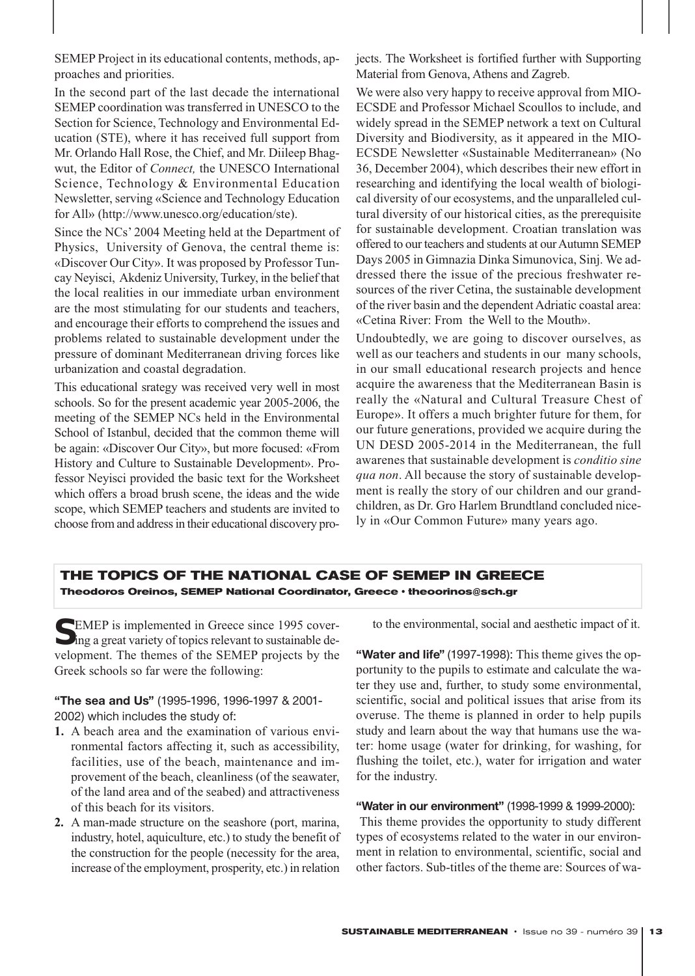SEMEP Project in its educational contents, methods, approaches and priorities.

In the second part of the last decade the international SEMEP coordination was transferred in UNESCO to the Section for Science, Technology and Environmental Education (STE), where it has received full support from Mr. Orlando Hall Rose, the Chief, and Mr. Diileep Bhagwut, the Editor of *Connect,* the UNESCO International Science, Technology & Environmental Education Newsletter, serving «Science and Technology Education for All» (http://www.unesco.org/education/ste).

Since the NCs' 2004 Meeting held at the Department of Physics, University of Genova, the central theme is: «Discover Our City». It was proposed by Professor Tuncay Neyisci, Akdeniz University, Turkey, in the belief that the local realities in our immediate urban environment are the most stimulating for our students and teachers, and encourage their efforts to comprehend the issues and problems related to sustainable development under the pressure of dominant Mediterranean driving forces like urbanization and coastal degradation.

This educational srategy was received very well in most schools. So for the present academic year 2005-2006, the meeting of the SEMEP NCs held in the Environmental School of Istanbul, decided that the common theme will be again: «Discover Our City», but more focused: «From History and Culture to Sustainable Development». Professor Neyisci provided the basic text for the Worksheet which offers a broad brush scene, the ideas and the wide scope, which SEMEP teachers and students are invited to choose from and address in their educational discovery projects. The Worksheet is fortified further with Supporting Material from Genova, Athens and Zagreb.

We were also very happy to receive approval from MIO-ECSDE and Professor Michael Scoullos to include, and widely spread in the SEMEP network a text on Cultural Diversity and Biodiversity, as it appeared in the MIO-ECSDE Newsletter «Sustainable Mediterranean» (No 36, December 2004), which describes their new effort in researching and identifying the local wealth of biological diversity of our ecosystems, and the unparalleled cultural diversity of our historical cities, as the prerequisite for sustainable development. Croatian translation was offered to our teachers and students at our Autumn SEMEP Days 2005 in Gimnazia Dinka Simunovica, Sinj. We addressed there the issue of the precious freshwater resources of the river Cetina, the sustainable development of the river basin and the dependent Adriatic coastal area: «Cetina River: From the Well to the Mouth».

Undoubtedly, we are going to discover ourselves, as well as our teachers and students in our many schools, in our small educational research projects and hence acquire the awareness that the Mediterranean Basin is really the «Natural and Cultural Treasure Chest of Europe». It offers a much brighter future for them, for our future generations, provided we acquire during the UN DESD 2005-2014 in the Mediterranean, the full awarenes that sustainable development is *conditio sine qua non*. All because the story of sustainable development is really the story of our children and our grandchildren, as Dr. Gro Harlem Brundtland concluded nicely in «Our Common Future» many years ago.

#### **THE TOPICS OF THE NATIONAL CASE OF SEMEP IN GREECE Theodoros Oreinos, SEMEP National Coordinator, Greece · theoorinos@sch.gr**

SEMEP is implemented in Greece since 1995 cover-<br>ing a great variety of topics relevant to sustainable development. The themes of the SEMEP projects by the Greek schools so far were the following:

#### **"The sea and Us"** (1995-1996, 1996-1997 & 2001- 2002) which includes the study of:

- **1.** A beach area and the examination of various environmental factors affecting it, such as accessibility, facilities, use of the beach, maintenance and improvement of the beach, cleanliness (of the seawater, of the land area and of the seabed) and attractiveness of this beach for its visitors.
- **2.** A man-made structure on the seashore (port, marina, industry, hotel, aquiculture, etc.) to study the benefit of the construction for the people (necessity for the area, increase of the employment, prosperity, etc.) in relation

to the environmental, social and aesthetic impact of it.

**"Water and life"** (1997-1998): This theme gives the opportunity to the pupils to estimate and calculate the water they use and, further, to study some environmental, scientific, social and political issues that arise from its overuse. The theme is planned in order to help pupils study and learn about the way that humans use the water: home usage (water for drinking, for washing, for flushing the toilet, etc.), water for irrigation and water for the industry.

#### **"Water in our environment"** (1998-1999 & 1999-2000):

This theme provides the opportunity to study different types of ecosystems related to the water in our environment in relation to environmental, scientific, social and other factors. Sub-titles of the theme are: Sources of wa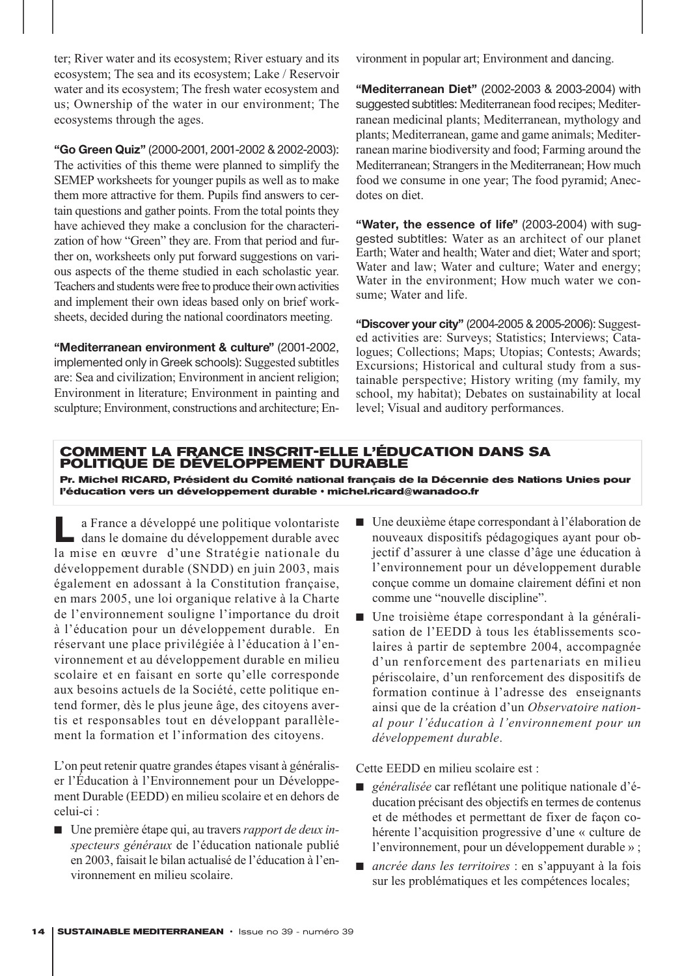ter; River water and its ecosystem; River estuary and its ecosystem; The sea and its ecosystem; Lake / Reservoir water and its ecosystem; The fresh water ecosystem and us; Ownership of the water in our environment; The ecosystems through the ages.

**"Go Green Quiz"** (2000-2001, 2001-2002 & 2002-2003): The activities of this theme were planned to simplify the SEMEP worksheets for younger pupils as well as to make them more attractive for them. Pupils find answers to certain questions and gather points. From the total points they have achieved they make a conclusion for the characterization of how "Green" they are. From that period and further on, worksheets only put forward suggestions on various aspects of the theme studied in each scholastic year. Teachers and students were free to produce their own activities and implement their own ideas based only on brief worksheets, decided during the national coordinators meeting.

**"Mediterranean environment & culture"** (2001-2002, implemented only in Greek schools): Suggested subtitles are: Sea and civilization; Environment in ancient religion; Environment in literature; Environment in painting and sculpture; Environment, constructions and architecture; Environment in popular art; Environment and dancing.

**"Mediterranean Diet"** (2002-2003 & 2003-2004) with suggested subtitles: Mediterranean food recipes; Mediterranean medicinal plants; Mediterranean, mythology and plants; Mediterranean, game and game animals; Mediterranean marine biodiversity and food; Farming around the Mediterranean; Strangers in the Mediterranean; How much food we consume in one year; The food pyramid; Anecdotes on diet.

**"Water, the essence of life"** (2003-2004) with suggested subtitles: Water as an architect of our planet Earth; Water and health; Water and diet; Water and sport; Water and law; Water and culture; Water and energy; Water in the environment; How much water we consume; Water and life.

**"Discover your city"** (2004-2005 & 2005-2006): Suggested activities are: Surveys; Statistics; Interviews; Catalogues; Collections; Maps; Utopias; Contests; Awards; Excursions; Historical and cultural study from a sustainable perspective; History writing (my family, my school, my habitat); Debates on sustainability at local level; Visual and auditory performances.

#### **COMMENT LA FRANCE INSCRIT-ELLE L'ÉDUCATION DANS SA POLITIQUE DE DÉVELOPPEMENT DURABLE**

**Pr. Michel RICARD, Président du Comité national français de la Décennie des Nations Unies pour** l'éducation vers un développement durable · michel.ricard@wanadoo.fr

**L**a France a développé une politique volontariste dans le domaine du développement durable avec la mise en œuvre d'une Stratégie nationale du développement durable (SNDD) en juin 2003, mais également en adossant à la Constitution française, en mars 2005, une loi organique relative à la Charte de l'environnement souligne l'importance du droit à l'éducation pour un développement durable. En réservant une place privilégiée à l'éducation à l'environnement et au développement durable en milieu scolaire et en faisant en sorte qu'elle corresponde aux besoins actuels de la Société, cette politique entend former, dès le plus jeune âge, des citoyens avertis et responsables tout en développant parallèlement la formation et l'information des citoyens.

L'on peut retenir quatre grandes étapes visant à généraliser l'Éducation à l'Environnement pour un Développement Durable (EEDD) en milieu scolaire et en dehors de celui-ci :

■ Une première étape qui, au travers *rapport de deux inspecteurs généraux* de l'éducation nationale publié en 2003, faisait le bilan actualisé de l'éducation à l'environnement en milieu scolaire.

- Une deuxième étape correspondant à l'élaboration de nouveaux dispositifs pédagogiques ayant pour objectif d'assurer à une classe d'âge une éducation à l'environnement pour un développement durable conçue comme un domaine clairement défini et non comme une "nouvelle discipline".
- Une troisième étape correspondant à la généralisation de l'EEDD à tous les établissements scolaires à partir de septembre 2004, accompagnée d'un renforcement des partenariats en milieu périscolaire, d'un renforcement des dispositifs de formation continue à l'adresse des enseignants ainsi que de la création d'un *Observatoire national pour l'éducation à l'environnement pour un développement durable*.

Cette EEDD en milieu scolaire est :

- *généralisée* car reflétant une politique nationale d'éducation précisant des objectifs en termes de contenus et de méthodes et permettant de fixer de façon cohérente l'acquisition progressive d'une « culture de l'environnement, pour un développement durable » ;
- *ancrée dans les territoires* : en s'appuyant à la fois sur les problématiques et les compétences locales;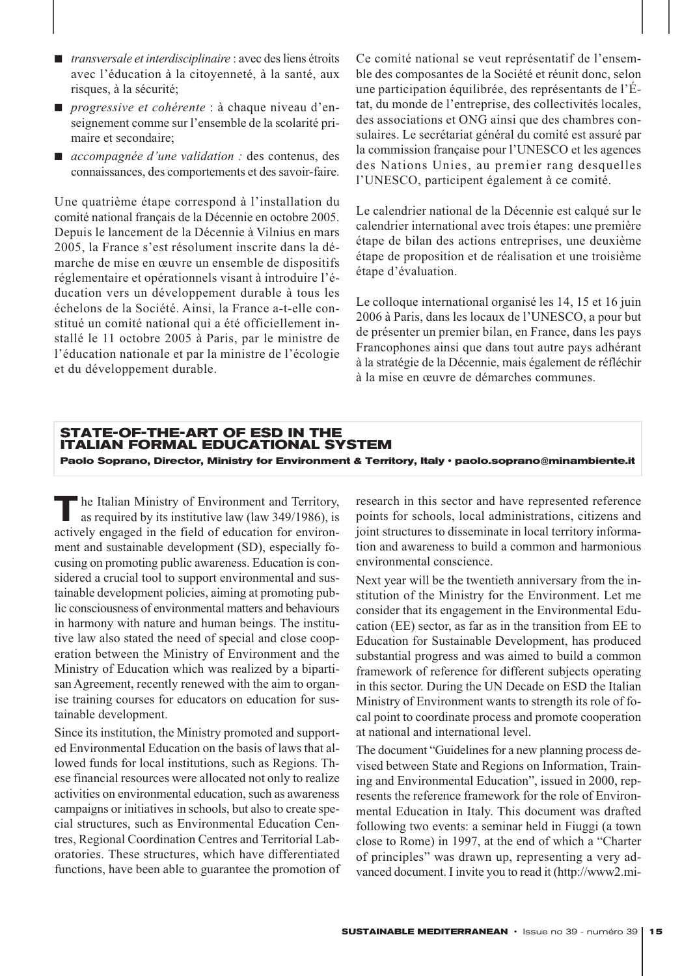- *transversale et interdisciplinaire* : avec des liens étroits avec l'éducation à la citoyenneté, à la santé, aux risques, à la sécurité;
- *progressive et cohérente* : à chaque niveau d'enseignement comme sur l'ensemble de la scolarité primaire et secondaire;
- *accompagnée d'une validation :* des contenus, des connaissances, des comportements et des savoir-faire.

Une quatrième étape correspond à l'installation du comité national français de la Décennie en octobre 2005. Depuis le lancement de la Décennie à Vilnius en mars 2005, la France s'est résolument inscrite dans la démarche de mise en œuvre un ensemble de dispositifs réglementaire et opérationnels visant à introduire l'éducation vers un développement durable à tous les échelons de la Société. Ainsi, la France a-t-elle constitué un comité national qui a été officiellement installé le 11 octobre 2005 à Paris, par le ministre de l'éducation nationale et par la ministre de l'écologie et du développement durable.

Ce comité national se veut représentatif de l'ensemble des composantes de la Société et réunit donc, selon une participation équilibrée, des représentants de l'État, du monde de l'entreprise, des collectivités locales, des associations et ONG ainsi que des chambres consulaires. Le secrétariat général du comité est assuré par la commission française pour l'UNESCO et les agences des Nations Unies, au premier rang desquelles l'UNESCO, participent également à ce comité.

Le calendrier national de la Décennie est calqué sur le calendrier international avec trois étapes: une première étape de bilan des actions entreprises, une deuxième étape de proposition et de réalisation et une troisième étape d'évaluation.

Le colloque international organisé les 14, 15 et 16 juin 2006 à Paris, dans les locaux de l'UNESCO, a pour but de présenter un premier bilan, en France, dans les pays Francophones ainsi que dans tout autre pays adhérant à la stratégie de la Décennie, mais également de réfléchir à la mise en œuvre de démarches communes.

#### **STATE-OF-THE-ART OF ESD IN THE ITALIAN FORMAL EDUCATIONAL SYSTEM** Paolo Soprano, Director, Ministry for Environment & Territory, Italy · paolo.soprano@minambiente.it

**T** he Italian Ministry of Environment and Territory, as required by its institutive law (law 349/1986), is actively engaged in the field of education for environment and sustainable development (SD), especially focusing on promoting public awareness. Education is considered a crucial tool to support environmental and sustainable development policies, aiming at promoting public consciousness of environmental matters and behaviours in harmony with nature and human beings. The institutive law also stated the need of special and close cooperation between the Ministry of Environment and the Ministry of Education which was realized by a bipartisan Agreement, recently renewed with the aim to organise training courses for educators on education for sustainable development.

Since its institution, the Ministry promoted and supported Environmental Education on the basis of laws that allowed funds for local institutions, such as Regions. These financial resources were allocated not only to realize activities on environmental education, such as awareness campaigns or initiatives in schools, but also to create special structures, such as Environmental Education Centres, Regional Coordination Centres and Territorial Laboratories. These structures, which have differentiated functions, have been able to guarantee the promotion of

research in this sector and have represented reference points for schools, local administrations, citizens and joint structures to disseminate in local territory information and awareness to build a common and harmonious environmental conscience.

Next year will be the twentieth anniversary from the institution of the Ministry for the Environment. Let me consider that its engagement in the Environmental Education (EE) sector, as far as in the transition from EE to Education for Sustainable Development, has produced substantial progress and was aimed to build a common framework of reference for different subjects operating in this sector. During the UN Decade on ESD the Italian Ministry of Environment wants to strength its role of focal point to coordinate process and promote cooperation at national and international level.

The document "Guidelines for a new planning process devised between State and Regions on Information, Training and Environmental Education", issued in 2000, represents the reference framework for the role of Environmental Education in Italy. This document was drafted following two events: a seminar held in Fiuggi (a town close to Rome) in 1997, at the end of which a "Charter of principles" was drawn up, representing a very advanced document. I invite you to read it (http://www2.mi-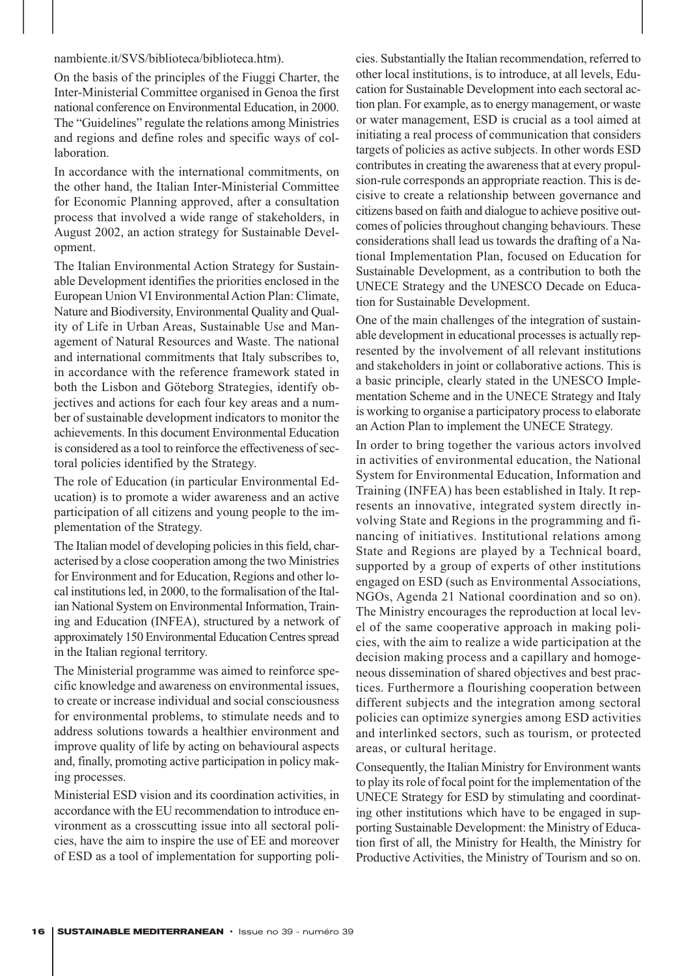#### nambiente.it/SVS/biblioteca/biblioteca.htm).

On the basis of the principles of the Fiuggi Charter, the Inter-Ministerial Committee organised in Genoa the first national conference on Environmental Education, in 2000. The "Guidelines" regulate the relations among Ministries and regions and define roles and specific ways of collaboration.

In accordance with the international commitments, on the other hand, the Italian Inter-Ministerial Committee for Economic Planning approved, after a consultation process that involved a wide range of stakeholders, in August 2002, an action strategy for Sustainable Development.

The Italian Environmental Action Strategy for Sustainable Development identifies the priorities enclosed in the European Union VI Environmental Action Plan: Climate, Nature and Biodiversity, Environmental Quality and Quality of Life in Urban Areas, Sustainable Use and Management of Natural Resources and Waste. The national and international commitments that Italy subscribes to, in accordance with the reference framework stated in both the Lisbon and Göteborg Strategies, identify objectives and actions for each four key areas and a number of sustainable development indicators to monitor the achievements. In this document Environmental Education is considered as a tool to reinforce the effectiveness of sectoral policies identified by the Strategy.

The role of Education (in particular Environmental Education) is to promote a wider awareness and an active participation of all citizens and young people to the implementation of the Strategy.

The Italian model of developing policies in this field, characterised by a close cooperation among the two Ministries for Environment and for Education, Regions and other local institutions led, in 2000, to the formalisation of the Italian National System on Environmental Information, Training and Education (INFEA), structured by a network of approximately 150 Environmental Education Centres spread in the Italian regional territory.

The Ministerial programme was aimed to reinforce specific knowledge and awareness on environmental issues, to create or increase individual and social consciousness for environmental problems, to stimulate needs and to address solutions towards a healthier environment and improve quality of life by acting on behavioural aspects and, finally, promoting active participation in policy making processes.

Ministerial ESD vision and its coordination activities, in accordance with the EU recommendation to introduce environment as a crosscutting issue into all sectoral policies, have the aim to inspire the use of EE and moreover of ESD as a tool of implementation for supporting policies. Substantially the Italian recommendation, referred to other local institutions, is to introduce, at all levels, Education for Sustainable Development into each sectoral action plan. For example, as to energy management, or waste or water management, ESD is crucial as a tool aimed at initiating a real process of communication that considers targets of policies as active subjects. In other words ESD contributes in creating the awareness that at every propulsion-rule corresponds an appropriate reaction. This is decisive to create a relationship between governance and citizens based on faith and dialogue to achieve positive outcomes of policies throughout changing behaviours. These considerations shall lead us towards the drafting of a National Implementation Plan, focused on Education for Sustainable Development, as a contribution to both the UNECE Strategy and the UNESCO Decade on Education for Sustainable Development.

One of the main challenges of the integration of sustainable development in educational processes is actually represented by the involvement of all relevant institutions and stakeholders in joint or collaborative actions. This is a basic principle, clearly stated in the UNESCO Implementation Scheme and in the UNECE Strategy and Italy is working to organise a participatory process to elaborate an Action Plan to implement the UNECE Strategy.

In order to bring together the various actors involved in activities of environmental education, the National System for Environmental Education, Information and Training (INFEA) has been established in Italy. It represents an innovative, integrated system directly involving State and Regions in the programming and financing of initiatives. Institutional relations among State and Regions are played by a Technical board, supported by a group of experts of other institutions engaged on ESD (such as Environmental Associations, NGOs, Agenda 21 National coordination and so on). The Ministry encourages the reproduction at local level of the same cooperative approach in making policies, with the aim to realize a wide participation at the decision making process and a capillary and homogeneous dissemination of shared objectives and best practices. Furthermore a flourishing cooperation between different subjects and the integration among sectoral policies can optimize synergies among ESD activities and interlinked sectors, such as tourism, or protected areas, or cultural heritage.

Consequently, the Italian Ministry for Environment wants to play its role of focal point for the implementation of the UNECE Strategy for ESD by stimulating and coordinating other institutions which have to be engaged in supporting Sustainable Development: the Ministry of Education first of all, the Ministry for Health, the Ministry for Productive Activities, the Ministry of Tourism and so on.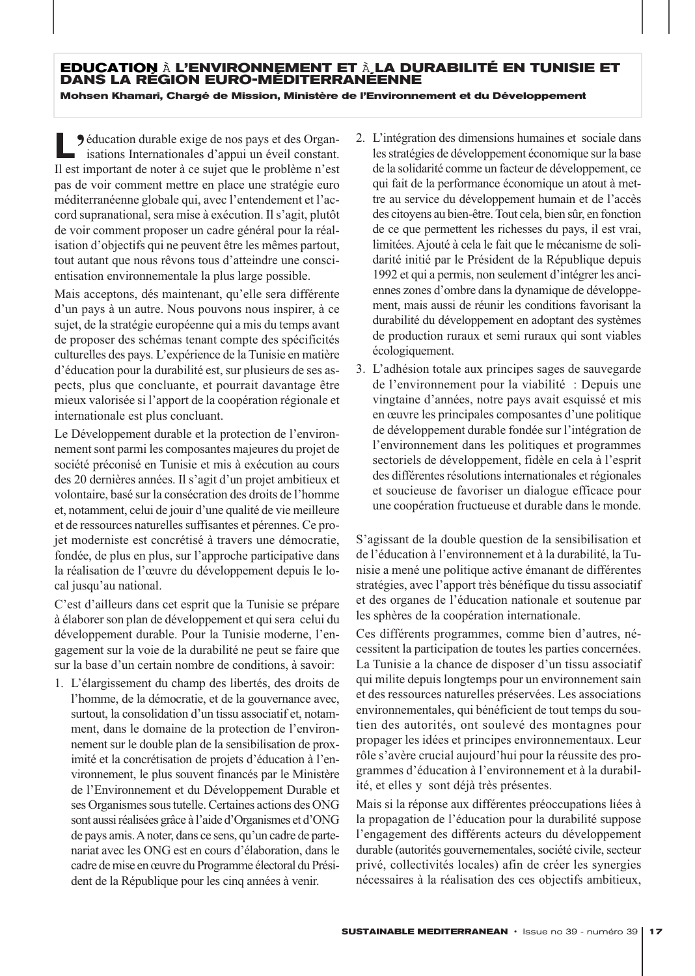# **EDUCATION** <sup>À</sup> **L'ENVIRONNEMENT ET** <sup>À</sup> **LA DURABILITÉ EN TUNISIE ET DANS LA RÉGION EURO-MÉDITERRANÉENNE Mohsen Khamari, Chargé de Mission, Ministère de l'Environnement et du Développement**

**L**<br> **J** éducation durable exige de nos pays et des Organisations Internationales d'appui un éveil constant. isations Internationales d'appui un éveil constant. Il est important de noter à ce sujet que le problème n'est pas de voir comment mettre en place une stratégie euro méditerranéenne globale qui, avec l'entendement et l'accord supranational, sera mise à exécution. Il s'agit, plutôt de voir comment proposer un cadre général pour la réalisation d'objectifs qui ne peuvent être les mêmes partout, tout autant que nous rêvons tous d'atteindre une conscientisation environnementale la plus large possible.

Mais acceptons, dés maintenant, qu'elle sera différente d'un pays à un autre. Nous pouvons nous inspirer, à ce sujet, de la stratégie européenne qui a mis du temps avant de proposer des schémas tenant compte des spécificités culturelles des pays. L'expérience de la Tunisie en matière d'éducation pour la durabilité est, sur plusieurs de ses aspects, plus que concluante, et pourrait davantage être mieux valorisée si l'apport de la coopération régionale et internationale est plus concluant.

Le Développement durable et la protection de l'environnement sont parmi les composantes majeures du projet de société préconisé en Tunisie et mis à exécution au cours des 20 dernières années. Il s'agit d'un projet ambitieux et volontaire, basé sur la consécration des droits de l'homme et, notamment, celui de jouir d'une qualité de vie meilleure et de ressources naturelles suffisantes et pérennes. Ce projet moderniste est concrétisé à travers une démocratie, fondée, de plus en plus, sur l'approche participative dans la réalisation de l'œuvre du développement depuis le local jusqu'au national.

C'est d'ailleurs dans cet esprit que la Tunisie se prépare à élaborer son plan de développement et qui sera celui du développement durable. Pour la Tunisie moderne, l'engagement sur la voie de la durabilité ne peut se faire que sur la base d'un certain nombre de conditions, à savoir:

1. L'élargissement du champ des libertés, des droits de l'homme, de la démocratie, et de la gouvernance avec, surtout, la consolidation d'un tissu associatif et, notamment, dans le domaine de la protection de l'environnement sur le double plan de la sensibilisation de proximité et la concrétisation de projets d'éducation à l'environnement, le plus souvent financés par le Ministère de l'Environnement et du Développement Durable et ses Organismes sous tutelle. Certaines actions des ONG sont aussi réalisées grâce à l'aide d'Organismes et d'ONG de pays amis. Anoter, dans ce sens, qu'un cadre de partenariat avec les ONG est en cours d'élaboration, dans le cadre de mise en œuvre du Programme électoral du Président de la République pour les cinq années à venir.

- 2. L'intégration des dimensions humaines et sociale dans les stratégies de développement économique sur la base de la solidarité comme un facteur de développement, ce qui fait de la performance économique un atout à mettre au service du développement humain et de l'accès des citoyens au bien-être. Tout cela, bien sûr, en fonction de ce que permettent les richesses du pays, il est vrai, limitées. Ajouté à cela le fait que le mécanisme de solidarité initié par le Président de la République depuis 1992 et qui a permis, non seulement d'intégrer les anciennes zones d'ombre dans la dynamique de développement, mais aussi de réunir les conditions favorisant la durabilité du développement en adoptant des systèmes de production ruraux et semi ruraux qui sont viables écologiquement.
- 3. L'adhésion totale aux principes sages de sauvegarde de l'environnement pour la viabilité : Depuis une vingtaine d'années, notre pays avait esquissé et mis en œuvre les principales composantes d'une politique de développement durable fondée sur l'intégration de l'environnement dans les politiques et programmes sectoriels de développement, fidèle en cela à l'esprit des différentes résolutions internationales et régionales et soucieuse de favoriser un dialogue efficace pour une coopération fructueuse et durable dans le monde.

S'agissant de la double question de la sensibilisation et de l'éducation à l'environnement et à la durabilité, la Tunisie a mené une politique active émanant de différentes stratégies, avec l'apport très bénéfique du tissu associatif et des organes de l'éducation nationale et soutenue par les sphères de la coopération internationale.

Ces différents programmes, comme bien d'autres, nécessitent la participation de toutes les parties concernées. La Tunisie a la chance de disposer d'un tissu associatif qui milite depuis longtemps pour un environnement sain et des ressources naturelles préservées. Les associations environnementales, qui bénéficient de tout temps du soutien des autorités, ont soulevé des montagnes pour propager les idées et principes environnementaux. Leur rôle s'avère crucial aujourd'hui pour la réussite des programmes d'éducation à l'environnement et à la durabilité, et elles y sont déjà très présentes.

Mais si la réponse aux différentes préoccupations liées à la propagation de l'éducation pour la durabilité suppose l'engagement des différents acteurs du développement durable (autorités gouvernementales, société civile, secteur privé, collectivités locales) afin de créer les synergies nécessaires à la réalisation des ces objectifs ambitieux,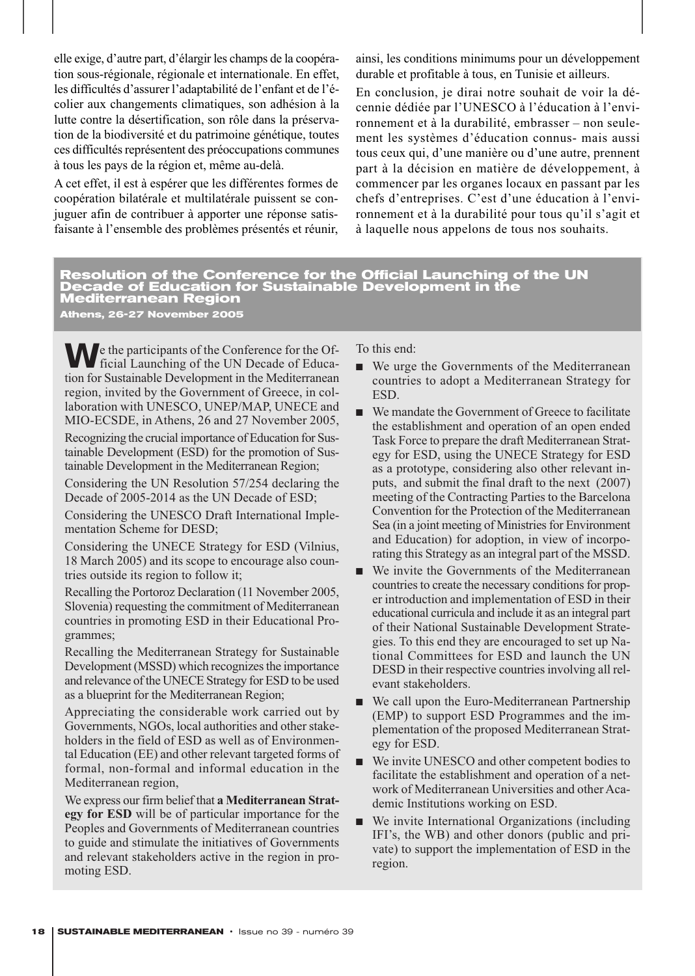elle exige, d'autre part, d'élargir les champs de la coopération sous-régionale, régionale et internationale. En effet, les difficultés d'assurer l'adaptabilité de l'enfant et de l'écolier aux changements climatiques, son adhésion à la lutte contre la désertification, son rôle dans la préservation de la biodiversité et du patrimoine génétique, toutes ces difficultés représentent des préoccupations communes à tous les pays de la région et, même au-delà.

A cet effet, il est à espérer que les différentes formes de coopération bilatérale et multilatérale puissent se conjuguer afin de contribuer à apporter une réponse satisfaisante à l'ensemble des problèmes présentés et réunir, ainsi, les conditions minimums pour un développement durable et profitable à tous, en Tunisie et ailleurs.

En conclusion, je dirai notre souhait de voir la décennie dédiée par l'UNESCO à l'éducation à l'environnement et à la durabilité, embrasser – non seulement les systèmes d'éducation connus- mais aussi tous ceux qui, d'une manière ou d'une autre, prennent part à la décision en matière de développement, à commencer par les organes locaux en passant par les chefs d'entreprises. C'est d'une éducation à l'environnement et à la durabilité pour tous qu'il s'agit et à laquelle nous appelons de tous nos souhaits.

#### **Resolution of the Conference for the Official Launching of the UN Decade of Education for Sustainable Development in the Mediterranean Region Athens, 26-27 November 2005**

We the participants of the Conference for the Of-<br>ficial Launching of the UN Decade of Education for Sustainable Development in the Mediterranean region, invited by the Government of Greece, in collaboration with UNESCO, UNEP/MAP, UNECE and MIO-ECSDE, in Athens, 26 and 27 November 2005,

Recognizing the crucial importance of Education for Sustainable Development (ESD) for the promotion of Sustainable Development in the Mediterranean Region;

Considering the UN Resolution 57/254 declaring the Decade of 2005-2014 as the UN Decade of ESD;

Considering the UNESCO Draft International Implementation Scheme for DESD;

Considering the UNECE Strategy for ESD (Vilnius, 18 March 2005) and its scope to encourage also countries outside its region to follow it;

Recalling the Portoroz Declaration (11 November 2005, Slovenia) requesting the commitment of Mediterranean countries in promoting ESD in their Educational Programmes;

Recalling the Mediterranean Strategy for Sustainable Development (MSSD) which recognizes the importance and relevance of the UNECE Strategy for ESD to be used as a blueprint for the Mediterranean Region;

Appreciating the considerable work carried out by Governments, NGOs, local authorities and other stakeholders in the field of ESD as well as of Environmental Education (EE) and other relevant targeted forms of formal, non-formal and informal education in the Mediterranean region,

We express our firm belief that **a Mediterranean Strategy for ESD** will be of particular importance for the Peoples and Governments of Mediterranean countries to guide and stimulate the initiatives of Governments and relevant stakeholders active in the region in promoting ESD.

To this end:

- We urge the Governments of the Mediterranean countries to adopt a Mediterranean Strategy for ESD.
- We mandate the Government of Greece to facilitate the establishment and operation of an open ended Task Force to prepare the draft Mediterranean Strategy for ESD, using the UNECE Strategy for ESD as a prototype, considering also other relevant inputs, and submit the final draft to the next (2007) meeting of the Contracting Parties to the Barcelona Convention for the Protection of the Mediterranean Sea (in a joint meeting of Ministries for Environment and Education) for adoption, in view of incorporating this Strategy as an integral part of the MSSD.
- We invite the Governments of the Mediterranean countries to create the necessary conditions for proper introduction and implementation of ESD in their educational curricula and include it as an integral part of their National Sustainable Development Strategies. To this end they are encouraged to set up National Committees for ESD and launch the UN DESD in their respective countries involving all relevant stakeholders.
- We call upon the Euro-Mediterranean Partnership (EMP) to support ESD Programmes and the implementation of the proposed Mediterranean Strategy for ESD.
- We invite UNESCO and other competent bodies to facilitate the establishment and operation of a network of Mediterranean Universities and other Academic Institutions working on ESD.
- We invite International Organizations (including IFI's, the WB) and other donors (public and private) to support the implementation of ESD in the region.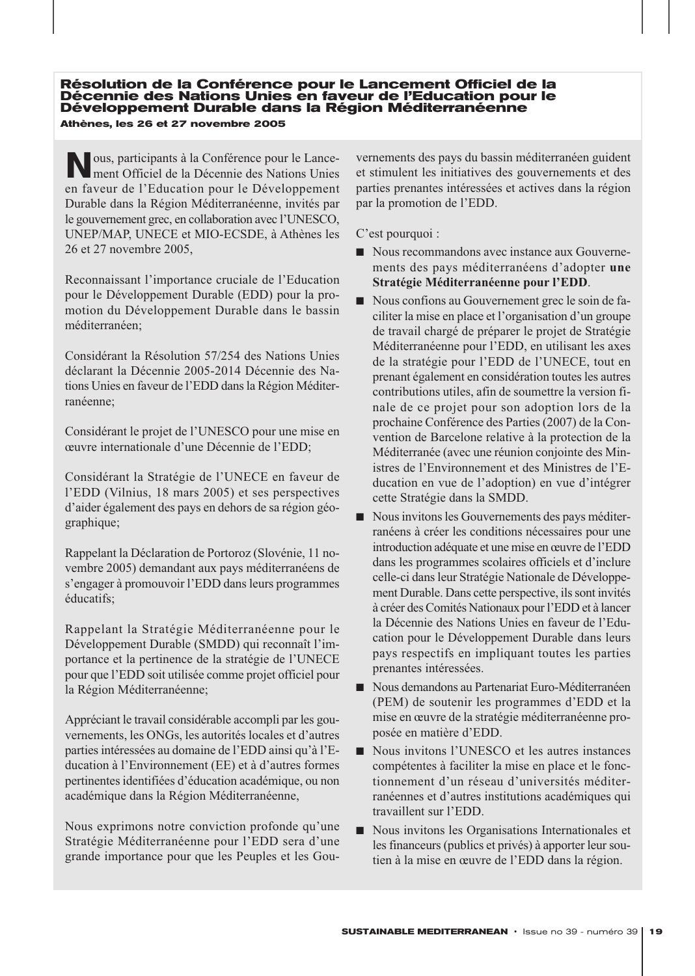**Résolution de la Conférence pour le Lancement Officiel de la Décennie des Nations Unies en faveur de l'Education pour le Développement Durable dans la Région Méditerranéenne Athènes, les 26 et 27 novembre 2005**

**N**ous, participants à la Conférence pour le Lance-ment Officiel de la Décennie des Nations Unies en faveur de l'Education pour le Développement Durable dans la Région Méditerranéenne, invités par le gouvernement grec, en collaboration avec l'UNESCO, UNEP/MAP, UNECE et MIO-ECSDE, à Athènes les 26 et 27 novembre 2005,

Reconnaissant l'importance cruciale de l'Education pour le Développement Durable (EDD) pour la promotion du Développement Durable dans le bassin méditerranéen;

Considérant la Résolution 57/254 des Nations Unies déclarant la Décennie 2005-2014 Décennie des Nations Unies en faveur de l'EDD dans la Région Méditerranéenne;

Considérant le projet de l'UNESCO pour une mise en œuvre internationale d'une Décennie de l'EDD;

Considérant la Stratégie de l'UNECE en faveur de l'EDD (Vilnius, 18 mars 2005) et ses perspectives d'aider également des pays en dehors de sa région géographique;

Rappelant la Déclaration de Portoroz (Slovénie, 11 novembre 2005) demandant aux pays méditerranéens de s'engager à promouvoir l'EDD dans leurs programmes éducatifs;

Rappelant la Stratégie Méditerranéenne pour le Développement Durable (SMDD) qui reconnaît l'importance et la pertinence de la stratégie de l'UNECE pour que l'EDD soit utilisée comme projet officiel pour la Région Méditerranéenne;

Appréciant le travail considérable accompli par les gouvernements, les ONGs, les autorités locales et d'autres parties intéressées au domaine de l'EDD ainsi qu'à l'Education à l'Environnement (EE) et à d'autres formes pertinentes identifiées d'éducation académique, ou non académique dans la Région Méditerranéenne,

Nous exprimons notre conviction profonde qu'une Stratégie Méditerranéenne pour l'EDD sera d'une grande importance pour que les Peuples et les Gouvernements des pays du bassin méditerranéen guident et stimulent les initiatives des gouvernements et des parties prenantes intéressées et actives dans la région par la promotion de l'EDD.

C'est pourquoi :

- Nous recommandons avec instance aux Gouvernements des pays méditerranéens d'adopter **une Stratégie Méditerranéenne pour l'EDD**.
- Nous confions au Gouvernement grec le soin de faciliter la mise en place et l'organisation d'un groupe de travail chargé de préparer le projet de Stratégie Méditerranéenne pour l'EDD, en utilisant les axes de la stratégie pour l'EDD de l'UNECE, tout en prenant également en considération toutes les autres contributions utiles, afin de soumettre la version finale de ce projet pour son adoption lors de la prochaine Conférence des Parties (2007) de la Convention de Barcelone relative à la protection de la Méditerranée (avec une réunion conjointe des Ministres de l'Environnement et des Ministres de l'Education en vue de l'adoption) en vue d'intégrer cette Stratégie dans la SMDD.
- Nous invitons les Gouvernements des pays méditerranéens à créer les conditions nécessaires pour une introduction adéquate et une mise en œuvre de l'EDD dans les programmes scolaires officiels et d'inclure celle-ci dans leur Stratégie Nationale de Développement Durable. Dans cette perspective, ils sont invités à créer des Comités Nationaux pour l'EDD et à lancer la Décennie des Nations Unies en faveur de l'Education pour le Développement Durable dans leurs pays respectifs en impliquant toutes les parties prenantes intéressées.
- Nous demandons au Partenariat Euro-Méditerranéen (PEM) de soutenir les programmes d'EDD et la mise en œuvre de la stratégie méditerranéenne proposée en matière d'EDD.
- Nous invitons l'UNESCO et les autres instances compétentes à faciliter la mise en place et le fonctionnement d'un réseau d'universités méditerranéennes et d'autres institutions académiques qui travaillent sur l'EDD.
- Nous invitons les Organisations Internationales et les financeurs (publics et privés) à apporter leur soutien à la mise en œuvre de l'EDD dans la région.